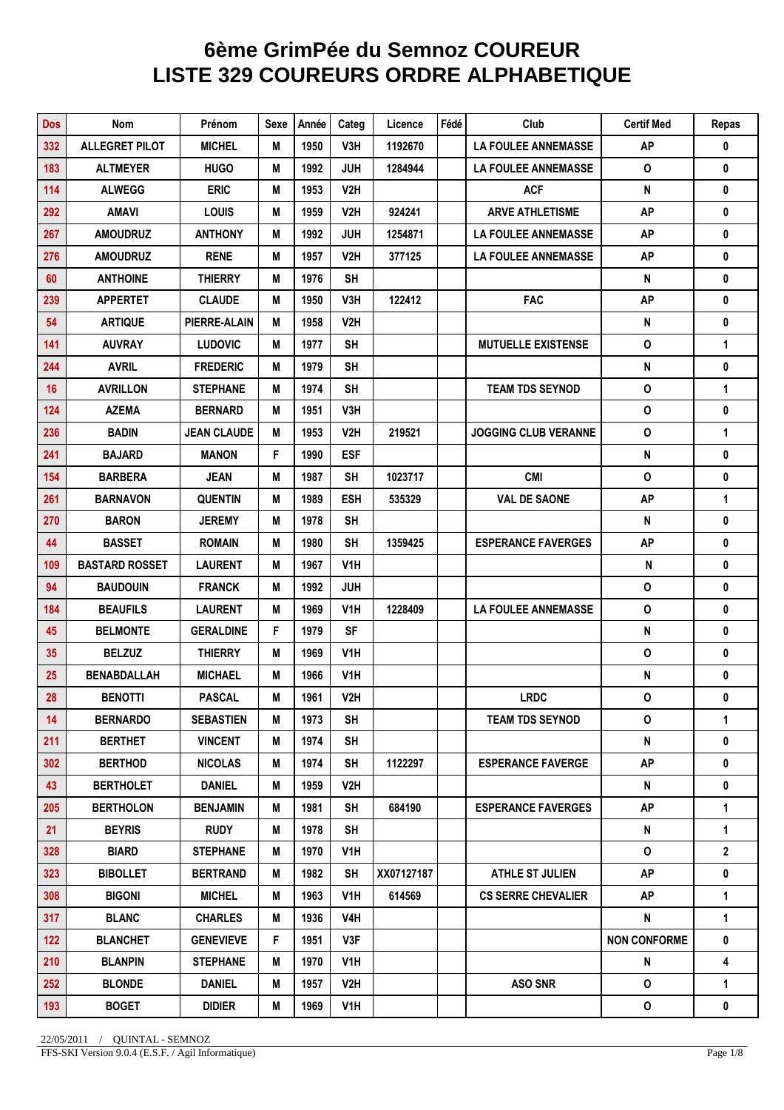## **6ème GrimPée du Semnoz COUREUR LISTE 329 COUREURS ORDRE ALPHABETIQUE**

| <b>Dos</b> | Nom                   | Prénom              | Sexe | Année | Categ            | Licence    | Fédé | Club                        | <b>Certif Med</b>   | Repas          |
|------------|-----------------------|---------------------|------|-------|------------------|------------|------|-----------------------------|---------------------|----------------|
| 332        | <b>ALLEGRET PILOT</b> | <b>MICHEL</b>       | М    | 1950  | V3H.             | 1192670    |      | <b>LA FOULEE ANNEMASSE</b>  | <b>AP</b>           | 0              |
| 183        | <b>ALTMEYER</b>       | <b>HUGO</b>         | M    | 1992  | <b>JUH</b>       | 1284944    |      | <b>LA FOULEE ANNEMASSE</b>  | 0                   | 0              |
| 114        | <b>ALWEGG</b>         | <b>ERIC</b>         | M    | 1953  | V2H              |            |      | <b>ACF</b>                  | ${\sf N}$           | 0              |
| 292        | <b>AMAVI</b>          | <b>LOUIS</b>        | M    | 1959  | V2H              | 924241     |      | <b>ARVE ATHLETISME</b>      | <b>AP</b>           | 0              |
| 267        | <b>AMOUDRUZ</b>       | <b>ANTHONY</b>      | Μ    | 1992  | <b>JUH</b>       | 1254871    |      | <b>LA FOULEE ANNEMASSE</b>  | <b>AP</b>           | 0              |
| 276        | <b>AMOUDRUZ</b>       | <b>RENE</b>         | M    | 1957  | V2H              | 377125     |      | <b>LA FOULEE ANNEMASSE</b>  | <b>AP</b>           | 0              |
| 60         | <b>ANTHOINE</b>       | <b>THIERRY</b>      | M    | 1976  | <b>SH</b>        |            |      |                             | N                   | 0              |
| 239        | <b>APPERTET</b>       | <b>CLAUDE</b>       | M    | 1950  | V3H              | 122412     |      | <b>FAC</b>                  | <b>AP</b>           | 0              |
| 54         | <b>ARTIQUE</b>        | <b>PIERRE-ALAIN</b> | M    | 1958  | V2H              |            |      |                             | ${\sf N}$           | 0              |
| 141        | <b>AUVRAY</b>         | <b>LUDOVIC</b>      | M    | 1977  | <b>SH</b>        |            |      | <b>MUTUELLE EXISTENSE</b>   | $\pmb{\mathsf{O}}$  | 1              |
| 244        | <b>AVRIL</b>          | <b>FREDERIC</b>     | M    | 1979  | <b>SH</b>        |            |      |                             | ${\sf N}$           | 0              |
| 16         | <b>AVRILLON</b>       | <b>STEPHANE</b>     | M    | 1974  | <b>SH</b>        |            |      | <b>TEAM TDS SEYNOD</b>      | $\mathsf{o}\,$      | 1              |
| 124        | <b>AZEMA</b>          | <b>BERNARD</b>      | M    | 1951  | V3H              |            |      |                             | $\mathbf{o}$        | 0              |
| 236        | <b>BADIN</b>          | <b>JEAN CLAUDE</b>  | M    | 1953  | V2H              | 219521     |      | <b>JOGGING CLUB VERANNE</b> | $\mathsf{o}\,$      | 1              |
| 241        | <b>BAJARD</b>         | <b>MANON</b>        | F    | 1990  | <b>ESF</b>       |            |      |                             | N                   | 0              |
| 154        | <b>BARBERA</b>        | <b>JEAN</b>         | M    | 1987  | <b>SH</b>        | 1023717    |      | <b>CMI</b>                  | $\mathbf 0$         | $\pmb{0}$      |
| 261        | <b>BARNAVON</b>       | <b>QUENTIN</b>      | M    | 1989  | <b>ESH</b>       | 535329     |      | <b>VAL DE SAONE</b>         | <b>AP</b>           | 1              |
| 270        | <b>BARON</b>          | <b>JEREMY</b>       | M    | 1978  | <b>SH</b>        |            |      |                             | ${\sf N}$           | 0              |
| 44         | <b>BASSET</b>         | <b>ROMAIN</b>       | M    | 1980  | <b>SH</b>        | 1359425    |      | <b>ESPERANCE FAVERGES</b>   | <b>AP</b>           | 0              |
| 109        | <b>BASTARD ROSSET</b> | <b>LAURENT</b>      | M    | 1967  | V <sub>1</sub> H |            |      |                             | ${\sf N}$           | 0              |
| 94         | <b>BAUDOUIN</b>       | <b>FRANCK</b>       | M    | 1992  | <b>JUH</b>       |            |      |                             | $\mathsf{o}\,$      | 0              |
| 184        | <b>BEAUFILS</b>       | <b>LAURENT</b>      | M    | 1969  | V1H              | 1228409    |      | <b>LA FOULEE ANNEMASSE</b>  | $\mathsf{O}\xspace$ | 0              |
| 45         | <b>BELMONTE</b>       | <b>GERALDINE</b>    | F    | 1979  | <b>SF</b>        |            |      |                             | ${\sf N}$           | 0              |
| 35         | <b>BELZUZ</b>         | <b>THIERRY</b>      | M    | 1969  | V1H              |            |      |                             | $\pmb{\mathsf{O}}$  | 0              |
| 25         | <b>BENABDALLAH</b>    | <b>MICHAEL</b>      | M    | 1966  | V1H              |            |      |                             | N                   | 0              |
| 28         | <b>BENOTTI</b>        | <b>PASCAL</b>       | M    | 1961  | V2H              |            |      | <b>LRDC</b>                 | 0                   | 0              |
| 14         | <b>BERNARDO</b>       | <b>SEBASTIEN</b>    | M    | 1973  | <b>SH</b>        |            |      | <b>TEAM TDS SEYNOD</b>      | 0                   | $\mathbf{1}$   |
| 211        | <b>BERTHET</b>        | <b>VINCENT</b>      | Μ    | 1974  | SH.              |            |      |                             | N                   | 0              |
| 302        | <b>BERTHOD</b>        | <b>NICOLAS</b>      | Μ    | 1974  | SH               | 1122297    |      | <b>ESPERANCE FAVERGE</b>    | <b>AP</b>           | 0              |
| 43         | <b>BERTHOLET</b>      | <b>DANIEL</b>       | M    | 1959  | V2H              |            |      |                             | N                   | 0              |
| 205        | <b>BERTHOLON</b>      | <b>BENJAMIN</b>     | M    | 1981  | <b>SH</b>        | 684190     |      | <b>ESPERANCE FAVERGES</b>   | <b>AP</b>           | $\mathbf{1}$   |
| 21         | <b>BEYRIS</b>         | <b>RUDY</b>         | M    | 1978  | <b>SH</b>        |            |      |                             | N                   | 1              |
| 328        | <b>BIARD</b>          | <b>STEPHANE</b>     | Μ    | 1970  | V1H              |            |      |                             | 0                   | $\overline{2}$ |
| 323        | <b>BIBOLLET</b>       | <b>BERTRAND</b>     | Μ    | 1982  | SH               | XX07127187 |      | <b>ATHLE ST JULIEN</b>      | AP                  | 0              |
| 308        | <b>BIGONI</b>         | <b>MICHEL</b>       | M    | 1963  | V <sub>1</sub> H | 614569     |      | <b>CS SERRE CHEVALIER</b>   | <b>AP</b>           | $\mathbf{1}$   |
| 317        | <b>BLANC</b>          | <b>CHARLES</b>      | Μ    | 1936  | V4H              |            |      |                             | N                   | $\mathbf{1}$   |
| $122$      | <b>BLANCHET</b>       | <b>GENEVIEVE</b>    | F    | 1951  | V3F              |            |      |                             | <b>NON CONFORME</b> | 0              |
| 210        | <b>BLANPIN</b>        | <b>STEPHANE</b>     | Μ    | 1970  | V1H              |            |      |                             | N                   | 4              |
| 252        | <b>BLONDE</b>         | <b>DANIEL</b>       | M    | 1957  | V2H              |            |      | <b>ASO SNR</b>              | 0                   | 1              |
| 193        | <b>BOGET</b>          | DIDIER              | М    | 1969  | V1H              |            |      |                             | 0                   | $\pmb{0}$      |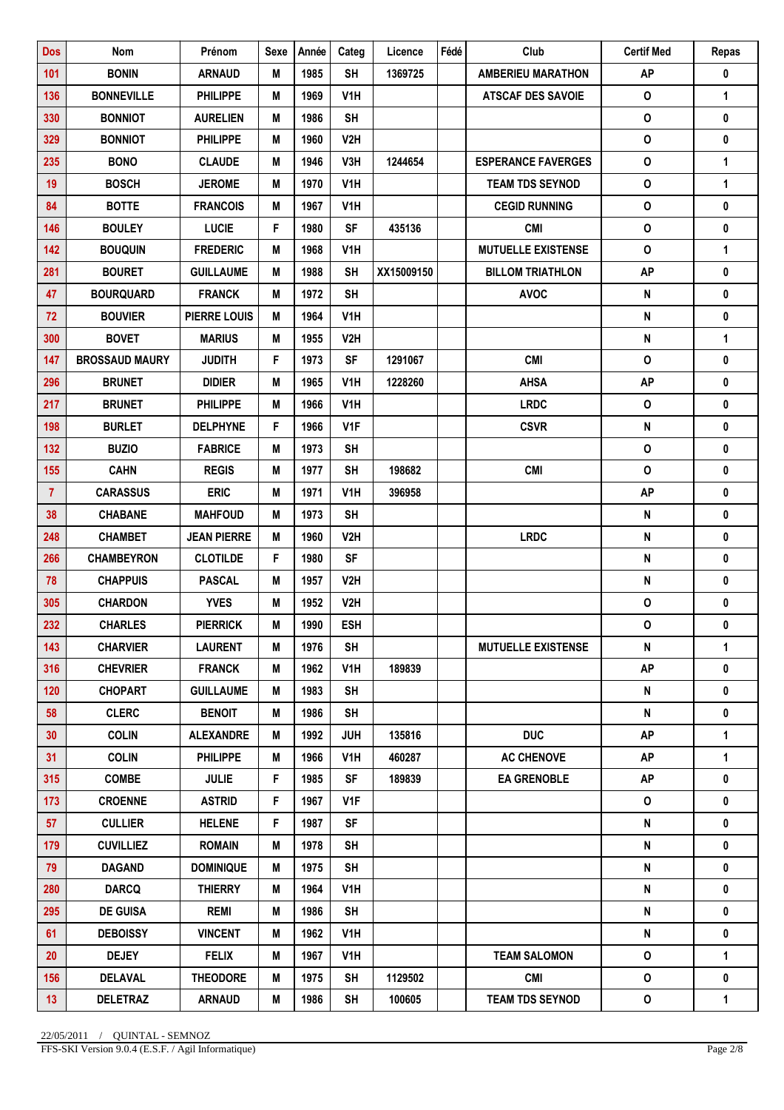| <b>Dos</b>      | Nom                   | Prénom              | <b>Sexe</b> | Année | Categ            | Licence    | Fédé | Club                      | <b>Certif Med</b>  | Repas        |
|-----------------|-----------------------|---------------------|-------------|-------|------------------|------------|------|---------------------------|--------------------|--------------|
| 101             | <b>BONIN</b>          | <b>ARNAUD</b>       | M           | 1985  | <b>SH</b>        | 1369725    |      | <b>AMBERIEU MARATHON</b>  | <b>AP</b>          | 0            |
| 136             | <b>BONNEVILLE</b>     | <b>PHILIPPE</b>     | M           | 1969  | V <sub>1</sub> H |            |      | <b>ATSCAF DES SAVOIE</b>  | $\mathbf{o}$       | 1            |
| 330             | <b>BONNIOT</b>        | <b>AURELIEN</b>     | M           | 1986  | <b>SH</b>        |            |      |                           | $\mathsf{o}$       | 0            |
| 329             | <b>BONNIOT</b>        | <b>PHILIPPE</b>     | M           | 1960  | V2H              |            |      |                           | $\pmb{\mathsf{O}}$ | 0            |
| 235             | <b>BONO</b>           | <b>CLAUDE</b>       | M           | 1946  | V3H              | 1244654    |      | <b>ESPERANCE FAVERGES</b> | $\mathsf{o}$       | 1            |
| 19              | <b>BOSCH</b>          | <b>JEROME</b>       | M           | 1970  | V <sub>1</sub> H |            |      | <b>TEAM TDS SEYNOD</b>    | $\pmb{\mathsf{O}}$ | $\mathbf{1}$ |
| 84              | <b>BOTTE</b>          | <b>FRANCOIS</b>     | M           | 1967  | V <sub>1</sub> H |            |      | <b>CEGID RUNNING</b>      | 0                  | $\mathbf 0$  |
| 146             | <b>BOULEY</b>         | <b>LUCIE</b>        | F           | 1980  | <b>SF</b>        | 435136     |      | <b>CMI</b>                | $\mathbf{o}$       | 0            |
| 142             | <b>BOUQUIN</b>        | <b>FREDERIC</b>     | M           | 1968  | V <sub>1</sub> H |            |      | <b>MUTUELLE EXISTENSE</b> | $\pmb{\mathsf{O}}$ | $\mathbf{1}$ |
| 281             | <b>BOURET</b>         | <b>GUILLAUME</b>    | M           | 1988  | <b>SH</b>        | XX15009150 |      | <b>BILLOM TRIATHLON</b>   | <b>AP</b>          | 0            |
| 47              | <b>BOURQUARD</b>      | <b>FRANCK</b>       | M           | 1972  | <b>SH</b>        |            |      | <b>AVOC</b>               | ${\sf N}$          | $\pmb{0}$    |
| 72              | <b>BOUVIER</b>        | <b>PIERRE LOUIS</b> | M           | 1964  | V1H              |            |      |                           | ${\sf N}$          | 0            |
| 300             | <b>BOVET</b>          | <b>MARIUS</b>       | M           | 1955  | V2H              |            |      |                           | ${\sf N}$          | $\mathbf{1}$ |
| 147             | <b>BROSSAUD MAURY</b> | <b>JUDITH</b>       | F           | 1973  | <b>SF</b>        | 1291067    |      | <b>CMI</b>                | 0                  | 0            |
| 296             | <b>BRUNET</b>         | <b>DIDIER</b>       | M           | 1965  | V <sub>1</sub> H | 1228260    |      | <b>AHSA</b>               | <b>AP</b>          | 0            |
| 217             | <b>BRUNET</b>         | <b>PHILIPPE</b>     | M           | 1966  | V <sub>1</sub> H |            |      | <b>LRDC</b>               | $\mathsf{o}$       | $\pmb{0}$    |
| 198             | <b>BURLET</b>         | <b>DELPHYNE</b>     | F           | 1966  | V <sub>1</sub> F |            |      | <b>CSVR</b>               | $\pmb{\mathsf{N}}$ | 0            |
| 132             | <b>BUZIO</b>          | <b>FABRICE</b>      | M           | 1973  | <b>SH</b>        |            |      |                           | $\pmb{\mathsf{O}}$ | $\pmb{0}$    |
| 155             | <b>CAHN</b>           | <b>REGIS</b>        | М           | 1977  | <b>SH</b>        | 198682     |      | <b>CMI</b>                | $\mathsf{o}$       | 0            |
| $\overline{7}$  | <b>CARASSUS</b>       | <b>ERIC</b>         | M           | 1971  | V <sub>1</sub> H | 396958     |      |                           | <b>AP</b>          | 0            |
| 38              | <b>CHABANE</b>        | <b>MAHFOUD</b>      | M           | 1973  | <b>SH</b>        |            |      |                           | ${\sf N}$          | $\mathbf 0$  |
| 248             | <b>CHAMBET</b>        | <b>JEAN PIERRE</b>  | M           | 1960  | V2H              |            |      | <b>LRDC</b>               | ${\sf N}$          | 0            |
| 266             | <b>CHAMBEYRON</b>     | <b>CLOTILDE</b>     | F.          | 1980  | <b>SF</b>        |            |      |                           | ${\sf N}$          | 0            |
| 78              | <b>CHAPPUIS</b>       | <b>PASCAL</b>       | M           | 1957  | V2H              |            |      |                           | N                  | 0            |
| 305             | <b>CHARDON</b>        | <b>YVES</b>         | M           | 1952  | V2H              |            |      |                           | 0                  | 0            |
| 232             | <b>CHARLES</b>        | <b>PIERRICK</b>     | M           | 1990  | <b>ESH</b>       |            |      |                           | 0                  | 0            |
| 143             | <b>CHARVIER</b>       | <b>LAURENT</b>      | M           | 1976  | <b>SH</b>        |            |      | <b>MUTUELLE EXISTENSE</b> | ${\sf N}$          | 1            |
| 316             | <b>CHEVRIER</b>       | <b>FRANCK</b>       | Μ           | 1962  | V <sub>1</sub> H | 189839     |      |                           | <b>AP</b>          | 0            |
| 120             | <b>CHOPART</b>        | <b>GUILLAUME</b>    | M           | 1983  | SH               |            |      |                           | N                  | 0            |
| 58              | <b>CLERC</b>          | <b>BENOIT</b>       | M           | 1986  | <b>SH</b>        |            |      |                           | N                  | $\pmb{0}$    |
| 30              | <b>COLIN</b>          | <b>ALEXANDRE</b>    | M           | 1992  | <b>JUH</b>       | 135816     |      | <b>DUC</b>                | <b>AP</b>          | 1            |
| 31              | <b>COLIN</b>          | <b>PHILIPPE</b>     | M           | 1966  | V1H              | 460287     |      | <b>AC CHENOVE</b>         | <b>AP</b>          | 1            |
| 315             | <b>COMBE</b>          | <b>JULIE</b>        | F.          | 1985  | <b>SF</b>        | 189839     |      | <b>EA GRENOBLE</b>        | AP                 | 0            |
| 173             | <b>CROENNE</b>        | <b>ASTRID</b>       | F           | 1967  | V1F              |            |      |                           | 0                  | 0            |
| 57              | <b>CULLIER</b>        | <b>HELENE</b>       | F.          | 1987  | <b>SF</b>        |            |      |                           | N                  | 0            |
| 179             | <b>CUVILLIEZ</b>      | <b>ROMAIN</b>       | M           | 1978  | <b>SH</b>        |            |      |                           | ${\sf N}$          | 0            |
| 79              | <b>DAGAND</b>         | <b>DOMINIQUE</b>    | M           | 1975  | <b>SH</b>        |            |      |                           | ${\sf N}$          | 0            |
| 280             | <b>DARCQ</b>          | <b>THIERRY</b>      | Μ           | 1964  | V <sub>1</sub> H |            |      |                           | N                  | 0            |
| 295             | <b>DE GUISA</b>       | <b>REMI</b>         | M           | 1986  | <b>SH</b>        |            |      |                           | N                  | 0            |
| 61              | <b>DEBOISSY</b>       | <b>VINCENT</b>      | M           | 1962  | V1H              |            |      |                           | N                  | $\mathbf 0$  |
| 20              | <b>DEJEY</b>          | <b>FELIX</b>        | M           | 1967  | V1H              |            |      | <b>TEAM SALOMON</b>       | $\mathsf{o}\,$     | $\mathbf{1}$ |
| 156             | <b>DELAVAL</b>        | <b>THEODORE</b>     | M           | 1975  | <b>SH</b>        | 1129502    |      | <b>CMI</b>                | $\mathsf{o}$       | 0            |
| 13 <sup>°</sup> | <b>DELETRAZ</b>       | <b>ARNAUD</b>       | Μ           | 1986  | <b>SH</b>        | 100605     |      | <b>TEAM TDS SEYNOD</b>    | 0                  | 1            |

FFS-SKI Version 9.0.4 (E.S.F. / Agil Informatique) Page 2/8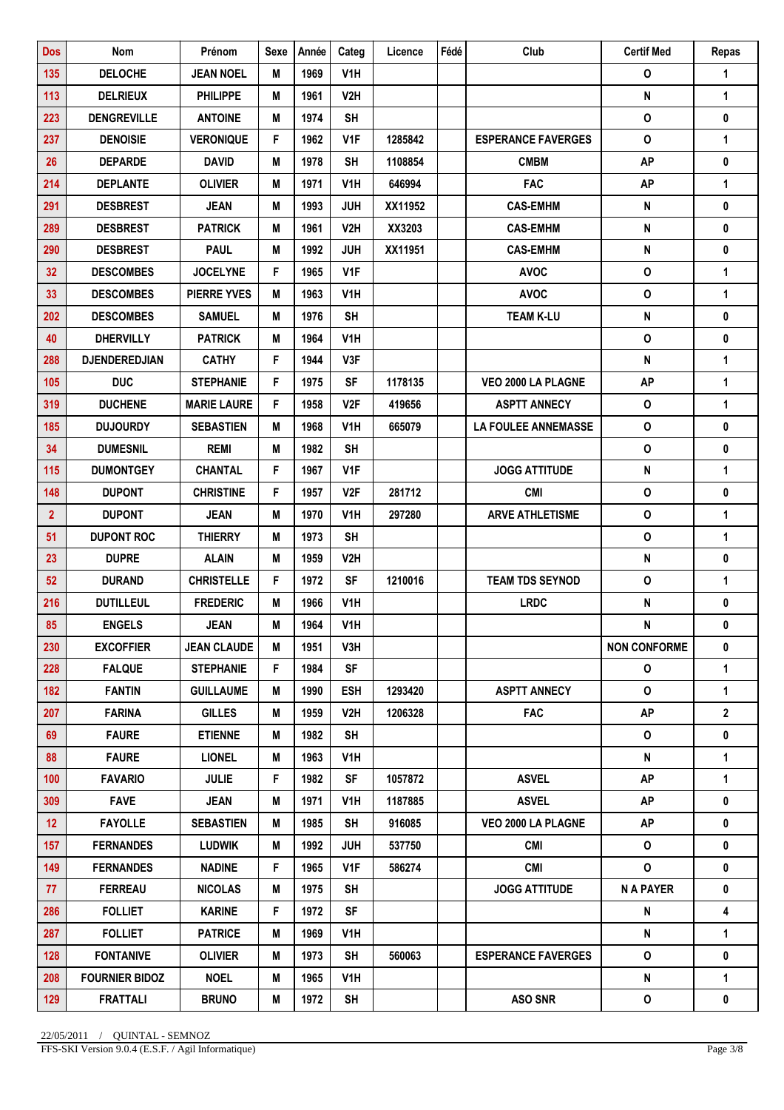| 135<br><b>DELOCHE</b><br><b>JEAN NOEL</b><br>1969<br>V <sub>1</sub> H<br>$\mathbf 0$<br>M<br>1<br>V <sub>2</sub> H<br>N<br>1<br>113<br><b>DELRIEUX</b><br><b>PHILIPPE</b><br>M<br>1961<br>$\mathsf{o}$<br>0<br>223<br><b>DENGREVILLE</b><br><b>ANTOINE</b><br>M<br>1974<br><b>SH</b><br>$\pmb{\mathsf{O}}$<br><b>VERONIQUE</b><br>F.<br>1<br>237<br><b>DENOISIE</b><br>1962<br>V <sub>1</sub> F<br>1285842<br><b>ESPERANCE FAVERGES</b><br><b>AP</b><br>0<br>26<br><b>DEPARDE</b><br>1978<br><b>SH</b><br>1108854<br><b>CMBM</b><br><b>DAVID</b><br>M<br>214<br>646994<br><b>FAC</b><br><b>AP</b><br>$\mathbf{1}$<br><b>DEPLANTE</b><br><b>OLIVIER</b><br>M<br>1971<br>V <sub>1</sub> H<br>0<br>291<br><b>DESBREST</b><br><b>JEAN</b><br>M<br>1993<br><b>JUH</b><br>XX11952<br><b>CAS-EMHM</b><br>N<br>V <sub>2</sub> H<br>XX3203<br>N<br>0<br>289<br><b>DESBREST</b><br><b>PATRICK</b><br>M<br>1961<br><b>CAS-EMHM</b><br>${\sf N}$<br>0<br>290<br><b>DESBREST</b><br><b>PAUL</b><br>1992<br><b>JUH</b><br>XX11951<br><b>CAS-EMHM</b><br>M<br>F<br>$\mathsf{o}$<br>1<br>32<br><b>DESCOMBES</b><br>V <sub>1</sub> F<br><b>AVOC</b><br><b>JOCELYNE</b><br>1965<br>$\mathbf 0$<br>$\mathbf{1}$<br>33<br><b>DESCOMBES</b><br><b>PIERRE YVES</b><br>M<br>1963<br>V <sub>1</sub> H<br><b>AVOC</b><br>N<br>0<br>202<br><b>DESCOMBES</b><br><b>SAMUEL</b><br>M<br>1976<br><b>SH</b><br><b>TEAM K-LU</b><br>$\mathbf 0$<br>V <sub>1</sub> H<br>0<br>40<br><b>DHERVILLY</b><br><b>PATRICK</b><br>M<br>1964<br>F<br>${\sf N}$<br>1<br>288<br><b>DJENDEREDJIAN</b><br><b>CATHY</b><br>1944<br>V3F<br>F<br><b>AP</b><br>$\mathbf{1}$<br>105<br><b>DUC</b><br><b>SF</b><br>1178135<br>VEO 2000 LA PLAGNE<br><b>STEPHANIE</b><br>1975<br>F<br>$\mathbf{1}$<br><b>MARIE LAURE</b><br>V <sub>2F</sub><br>0<br>319<br><b>DUCHENE</b><br>1958<br>419656<br><b>ASPTT ANNECY</b><br>$\mathbf 0$<br>0<br>185<br><b>DUJOURDY</b><br><b>SEBASTIEN</b><br>M<br>1968<br>V <sub>1</sub> H<br>665079<br><b>LA FOULEE ANNEMASSE</b><br>$\mathbf 0$<br>0<br>34<br><b>DUMESNIL</b><br><b>REMI</b><br>M<br>1982<br><b>SH</b><br>1<br>115<br><b>DUMONTGEY</b><br><b>CHANTAL</b><br>F<br>1967<br>V <sub>1</sub> F<br><b>JOGG ATTITUDE</b><br>N<br>F<br>$\mathbf{o}$<br>0<br>148<br><b>DUPONT</b><br><b>CHRISTINE</b><br>1957<br>V2F<br>281712<br><b>CMI</b><br>$\mathbf{o}$<br>$\mathbf{1}$<br>$\overline{2}$<br><b>DUPONT</b><br><b>JEAN</b><br>1970<br>V <sub>1</sub> H<br>297280<br><b>ARVE ATHLETISME</b><br>М<br>$\mathsf{o}$<br>$\mathbf{1}$<br>51<br><b>DUPONT ROC</b><br><b>THIERRY</b><br>M<br>1973<br><b>SH</b><br>${\sf N}$<br>0<br>23<br><b>DUPRE</b><br><b>ALAIN</b><br>1959<br>V <sub>2</sub> H<br>M<br>F<br>$\mathsf{o}$<br>1<br>52<br><b>DURAND</b><br><b>CHRISTELLE</b><br>1972<br>SF<br>1210016<br><b>TEAM TDS SEYNOD</b><br><b>LRDC</b><br>N<br>216<br><b>DUTILLEUL</b><br><b>FREDERIC</b><br>M<br>1966<br>V <sub>1</sub> H<br>0<br>85<br><b>ENGELS</b><br><b>JEAN</b><br>M<br>1964<br>V1H<br>Ν<br>0<br>230<br><b>NON CONFORME</b><br><b>EXCOFFIER</b><br><b>JEAN CLAUDE</b><br>1951<br>V3H<br>0<br>M<br>$\mathsf{o}\,$<br>$\mathbf{1}$<br>228<br><b>FALQUE</b><br><b>STEPHANIE</b><br>F<br>1984<br><b>SF</b><br>0<br>182<br><b>FANTIN</b><br><b>GUILLAUME</b><br>1<br>M<br>1990<br>ESH<br>1293420<br><b>ASPTT ANNECY</b><br><b>FAC</b><br><b>AP</b><br>$\overline{2}$<br>207<br><b>FARINA</b><br><b>GILLES</b><br>M<br>1959<br>V2H<br>1206328<br>$\mathsf{o}$<br>69<br><b>FAURE</b><br><b>ETIENNE</b><br>1982<br><b>SH</b><br>0<br>Μ<br><b>FAURE</b><br><b>LIONEL</b><br>N<br>88<br>M<br>1963<br>V1H<br>1<br>100<br><b>FAVARIO</b><br><b>JULIE</b><br>F<br>SF<br>1057872<br><b>ASVEL</b><br>AP<br>$\mathbf{1}$<br>1982 | <b>Dos</b> | <b>Nom</b>  | Prénom      | <b>Sexe</b> | Année | Categ | Licence | Fédé | Club         | <b>Certif Med</b> | Repas |
|-----------------------------------------------------------------------------------------------------------------------------------------------------------------------------------------------------------------------------------------------------------------------------------------------------------------------------------------------------------------------------------------------------------------------------------------------------------------------------------------------------------------------------------------------------------------------------------------------------------------------------------------------------------------------------------------------------------------------------------------------------------------------------------------------------------------------------------------------------------------------------------------------------------------------------------------------------------------------------------------------------------------------------------------------------------------------------------------------------------------------------------------------------------------------------------------------------------------------------------------------------------------------------------------------------------------------------------------------------------------------------------------------------------------------------------------------------------------------------------------------------------------------------------------------------------------------------------------------------------------------------------------------------------------------------------------------------------------------------------------------------------------------------------------------------------------------------------------------------------------------------------------------------------------------------------------------------------------------------------------------------------------------------------------------------------------------------------------------------------------------------------------------------------------------------------------------------------------------------------------------------------------------------------------------------------------------------------------------------------------------------------------------------------------------------------------------------------------------------------------------------------------------------------------------------------------------------------------------------------------------------------------------------------------------------------------------------------------------------------------------------------------------------------------------------------------------------------------------------------------------------------------------------------------------------------------------------------------------------------------------------------------------------------------------------------------------------------------------------------------------------------------------------------------------------------------------------------------------------------------------------------------------------------------------------------------------------------------------------------------------------------------------------------------------------------------------------------------------------------------------------------------------------------------------------------------------------------------------------------------------------------------------------------------------------------------------------------|------------|-------------|-------------|-------------|-------|-------|---------|------|--------------|-------------------|-------|
|                                                                                                                                                                                                                                                                                                                                                                                                                                                                                                                                                                                                                                                                                                                                                                                                                                                                                                                                                                                                                                                                                                                                                                                                                                                                                                                                                                                                                                                                                                                                                                                                                                                                                                                                                                                                                                                                                                                                                                                                                                                                                                                                                                                                                                                                                                                                                                                                                                                                                                                                                                                                                                                                                                                                                                                                                                                                                                                                                                                                                                                                                                                                                                                                                                                                                                                                                                                                                                                                                                                                                                                                                                                                                                           |            |             |             |             |       |       |         |      |              |                   |       |
|                                                                                                                                                                                                                                                                                                                                                                                                                                                                                                                                                                                                                                                                                                                                                                                                                                                                                                                                                                                                                                                                                                                                                                                                                                                                                                                                                                                                                                                                                                                                                                                                                                                                                                                                                                                                                                                                                                                                                                                                                                                                                                                                                                                                                                                                                                                                                                                                                                                                                                                                                                                                                                                                                                                                                                                                                                                                                                                                                                                                                                                                                                                                                                                                                                                                                                                                                                                                                                                                                                                                                                                                                                                                                                           |            |             |             |             |       |       |         |      |              |                   |       |
|                                                                                                                                                                                                                                                                                                                                                                                                                                                                                                                                                                                                                                                                                                                                                                                                                                                                                                                                                                                                                                                                                                                                                                                                                                                                                                                                                                                                                                                                                                                                                                                                                                                                                                                                                                                                                                                                                                                                                                                                                                                                                                                                                                                                                                                                                                                                                                                                                                                                                                                                                                                                                                                                                                                                                                                                                                                                                                                                                                                                                                                                                                                                                                                                                                                                                                                                                                                                                                                                                                                                                                                                                                                                                                           |            |             |             |             |       |       |         |      |              |                   |       |
|                                                                                                                                                                                                                                                                                                                                                                                                                                                                                                                                                                                                                                                                                                                                                                                                                                                                                                                                                                                                                                                                                                                                                                                                                                                                                                                                                                                                                                                                                                                                                                                                                                                                                                                                                                                                                                                                                                                                                                                                                                                                                                                                                                                                                                                                                                                                                                                                                                                                                                                                                                                                                                                                                                                                                                                                                                                                                                                                                                                                                                                                                                                                                                                                                                                                                                                                                                                                                                                                                                                                                                                                                                                                                                           |            |             |             |             |       |       |         |      |              |                   |       |
|                                                                                                                                                                                                                                                                                                                                                                                                                                                                                                                                                                                                                                                                                                                                                                                                                                                                                                                                                                                                                                                                                                                                                                                                                                                                                                                                                                                                                                                                                                                                                                                                                                                                                                                                                                                                                                                                                                                                                                                                                                                                                                                                                                                                                                                                                                                                                                                                                                                                                                                                                                                                                                                                                                                                                                                                                                                                                                                                                                                                                                                                                                                                                                                                                                                                                                                                                                                                                                                                                                                                                                                                                                                                                                           |            |             |             |             |       |       |         |      |              |                   |       |
|                                                                                                                                                                                                                                                                                                                                                                                                                                                                                                                                                                                                                                                                                                                                                                                                                                                                                                                                                                                                                                                                                                                                                                                                                                                                                                                                                                                                                                                                                                                                                                                                                                                                                                                                                                                                                                                                                                                                                                                                                                                                                                                                                                                                                                                                                                                                                                                                                                                                                                                                                                                                                                                                                                                                                                                                                                                                                                                                                                                                                                                                                                                                                                                                                                                                                                                                                                                                                                                                                                                                                                                                                                                                                                           |            |             |             |             |       |       |         |      |              |                   |       |
|                                                                                                                                                                                                                                                                                                                                                                                                                                                                                                                                                                                                                                                                                                                                                                                                                                                                                                                                                                                                                                                                                                                                                                                                                                                                                                                                                                                                                                                                                                                                                                                                                                                                                                                                                                                                                                                                                                                                                                                                                                                                                                                                                                                                                                                                                                                                                                                                                                                                                                                                                                                                                                                                                                                                                                                                                                                                                                                                                                                                                                                                                                                                                                                                                                                                                                                                                                                                                                                                                                                                                                                                                                                                                                           |            |             |             |             |       |       |         |      |              |                   |       |
|                                                                                                                                                                                                                                                                                                                                                                                                                                                                                                                                                                                                                                                                                                                                                                                                                                                                                                                                                                                                                                                                                                                                                                                                                                                                                                                                                                                                                                                                                                                                                                                                                                                                                                                                                                                                                                                                                                                                                                                                                                                                                                                                                                                                                                                                                                                                                                                                                                                                                                                                                                                                                                                                                                                                                                                                                                                                                                                                                                                                                                                                                                                                                                                                                                                                                                                                                                                                                                                                                                                                                                                                                                                                                                           |            |             |             |             |       |       |         |      |              |                   |       |
|                                                                                                                                                                                                                                                                                                                                                                                                                                                                                                                                                                                                                                                                                                                                                                                                                                                                                                                                                                                                                                                                                                                                                                                                                                                                                                                                                                                                                                                                                                                                                                                                                                                                                                                                                                                                                                                                                                                                                                                                                                                                                                                                                                                                                                                                                                                                                                                                                                                                                                                                                                                                                                                                                                                                                                                                                                                                                                                                                                                                                                                                                                                                                                                                                                                                                                                                                                                                                                                                                                                                                                                                                                                                                                           |            |             |             |             |       |       |         |      |              |                   |       |
|                                                                                                                                                                                                                                                                                                                                                                                                                                                                                                                                                                                                                                                                                                                                                                                                                                                                                                                                                                                                                                                                                                                                                                                                                                                                                                                                                                                                                                                                                                                                                                                                                                                                                                                                                                                                                                                                                                                                                                                                                                                                                                                                                                                                                                                                                                                                                                                                                                                                                                                                                                                                                                                                                                                                                                                                                                                                                                                                                                                                                                                                                                                                                                                                                                                                                                                                                                                                                                                                                                                                                                                                                                                                                                           |            |             |             |             |       |       |         |      |              |                   |       |
|                                                                                                                                                                                                                                                                                                                                                                                                                                                                                                                                                                                                                                                                                                                                                                                                                                                                                                                                                                                                                                                                                                                                                                                                                                                                                                                                                                                                                                                                                                                                                                                                                                                                                                                                                                                                                                                                                                                                                                                                                                                                                                                                                                                                                                                                                                                                                                                                                                                                                                                                                                                                                                                                                                                                                                                                                                                                                                                                                                                                                                                                                                                                                                                                                                                                                                                                                                                                                                                                                                                                                                                                                                                                                                           |            |             |             |             |       |       |         |      |              |                   |       |
|                                                                                                                                                                                                                                                                                                                                                                                                                                                                                                                                                                                                                                                                                                                                                                                                                                                                                                                                                                                                                                                                                                                                                                                                                                                                                                                                                                                                                                                                                                                                                                                                                                                                                                                                                                                                                                                                                                                                                                                                                                                                                                                                                                                                                                                                                                                                                                                                                                                                                                                                                                                                                                                                                                                                                                                                                                                                                                                                                                                                                                                                                                                                                                                                                                                                                                                                                                                                                                                                                                                                                                                                                                                                                                           |            |             |             |             |       |       |         |      |              |                   |       |
|                                                                                                                                                                                                                                                                                                                                                                                                                                                                                                                                                                                                                                                                                                                                                                                                                                                                                                                                                                                                                                                                                                                                                                                                                                                                                                                                                                                                                                                                                                                                                                                                                                                                                                                                                                                                                                                                                                                                                                                                                                                                                                                                                                                                                                                                                                                                                                                                                                                                                                                                                                                                                                                                                                                                                                                                                                                                                                                                                                                                                                                                                                                                                                                                                                                                                                                                                                                                                                                                                                                                                                                                                                                                                                           |            |             |             |             |       |       |         |      |              |                   |       |
|                                                                                                                                                                                                                                                                                                                                                                                                                                                                                                                                                                                                                                                                                                                                                                                                                                                                                                                                                                                                                                                                                                                                                                                                                                                                                                                                                                                                                                                                                                                                                                                                                                                                                                                                                                                                                                                                                                                                                                                                                                                                                                                                                                                                                                                                                                                                                                                                                                                                                                                                                                                                                                                                                                                                                                                                                                                                                                                                                                                                                                                                                                                                                                                                                                                                                                                                                                                                                                                                                                                                                                                                                                                                                                           |            |             |             |             |       |       |         |      |              |                   |       |
|                                                                                                                                                                                                                                                                                                                                                                                                                                                                                                                                                                                                                                                                                                                                                                                                                                                                                                                                                                                                                                                                                                                                                                                                                                                                                                                                                                                                                                                                                                                                                                                                                                                                                                                                                                                                                                                                                                                                                                                                                                                                                                                                                                                                                                                                                                                                                                                                                                                                                                                                                                                                                                                                                                                                                                                                                                                                                                                                                                                                                                                                                                                                                                                                                                                                                                                                                                                                                                                                                                                                                                                                                                                                                                           |            |             |             |             |       |       |         |      |              |                   |       |
|                                                                                                                                                                                                                                                                                                                                                                                                                                                                                                                                                                                                                                                                                                                                                                                                                                                                                                                                                                                                                                                                                                                                                                                                                                                                                                                                                                                                                                                                                                                                                                                                                                                                                                                                                                                                                                                                                                                                                                                                                                                                                                                                                                                                                                                                                                                                                                                                                                                                                                                                                                                                                                                                                                                                                                                                                                                                                                                                                                                                                                                                                                                                                                                                                                                                                                                                                                                                                                                                                                                                                                                                                                                                                                           |            |             |             |             |       |       |         |      |              |                   |       |
|                                                                                                                                                                                                                                                                                                                                                                                                                                                                                                                                                                                                                                                                                                                                                                                                                                                                                                                                                                                                                                                                                                                                                                                                                                                                                                                                                                                                                                                                                                                                                                                                                                                                                                                                                                                                                                                                                                                                                                                                                                                                                                                                                                                                                                                                                                                                                                                                                                                                                                                                                                                                                                                                                                                                                                                                                                                                                                                                                                                                                                                                                                                                                                                                                                                                                                                                                                                                                                                                                                                                                                                                                                                                                                           |            |             |             |             |       |       |         |      |              |                   |       |
|                                                                                                                                                                                                                                                                                                                                                                                                                                                                                                                                                                                                                                                                                                                                                                                                                                                                                                                                                                                                                                                                                                                                                                                                                                                                                                                                                                                                                                                                                                                                                                                                                                                                                                                                                                                                                                                                                                                                                                                                                                                                                                                                                                                                                                                                                                                                                                                                                                                                                                                                                                                                                                                                                                                                                                                                                                                                                                                                                                                                                                                                                                                                                                                                                                                                                                                                                                                                                                                                                                                                                                                                                                                                                                           |            |             |             |             |       |       |         |      |              |                   |       |
|                                                                                                                                                                                                                                                                                                                                                                                                                                                                                                                                                                                                                                                                                                                                                                                                                                                                                                                                                                                                                                                                                                                                                                                                                                                                                                                                                                                                                                                                                                                                                                                                                                                                                                                                                                                                                                                                                                                                                                                                                                                                                                                                                                                                                                                                                                                                                                                                                                                                                                                                                                                                                                                                                                                                                                                                                                                                                                                                                                                                                                                                                                                                                                                                                                                                                                                                                                                                                                                                                                                                                                                                                                                                                                           |            |             |             |             |       |       |         |      |              |                   |       |
|                                                                                                                                                                                                                                                                                                                                                                                                                                                                                                                                                                                                                                                                                                                                                                                                                                                                                                                                                                                                                                                                                                                                                                                                                                                                                                                                                                                                                                                                                                                                                                                                                                                                                                                                                                                                                                                                                                                                                                                                                                                                                                                                                                                                                                                                                                                                                                                                                                                                                                                                                                                                                                                                                                                                                                                                                                                                                                                                                                                                                                                                                                                                                                                                                                                                                                                                                                                                                                                                                                                                                                                                                                                                                                           |            |             |             |             |       |       |         |      |              |                   |       |
|                                                                                                                                                                                                                                                                                                                                                                                                                                                                                                                                                                                                                                                                                                                                                                                                                                                                                                                                                                                                                                                                                                                                                                                                                                                                                                                                                                                                                                                                                                                                                                                                                                                                                                                                                                                                                                                                                                                                                                                                                                                                                                                                                                                                                                                                                                                                                                                                                                                                                                                                                                                                                                                                                                                                                                                                                                                                                                                                                                                                                                                                                                                                                                                                                                                                                                                                                                                                                                                                                                                                                                                                                                                                                                           |            |             |             |             |       |       |         |      |              |                   |       |
|                                                                                                                                                                                                                                                                                                                                                                                                                                                                                                                                                                                                                                                                                                                                                                                                                                                                                                                                                                                                                                                                                                                                                                                                                                                                                                                                                                                                                                                                                                                                                                                                                                                                                                                                                                                                                                                                                                                                                                                                                                                                                                                                                                                                                                                                                                                                                                                                                                                                                                                                                                                                                                                                                                                                                                                                                                                                                                                                                                                                                                                                                                                                                                                                                                                                                                                                                                                                                                                                                                                                                                                                                                                                                                           |            |             |             |             |       |       |         |      |              |                   |       |
|                                                                                                                                                                                                                                                                                                                                                                                                                                                                                                                                                                                                                                                                                                                                                                                                                                                                                                                                                                                                                                                                                                                                                                                                                                                                                                                                                                                                                                                                                                                                                                                                                                                                                                                                                                                                                                                                                                                                                                                                                                                                                                                                                                                                                                                                                                                                                                                                                                                                                                                                                                                                                                                                                                                                                                                                                                                                                                                                                                                                                                                                                                                                                                                                                                                                                                                                                                                                                                                                                                                                                                                                                                                                                                           |            |             |             |             |       |       |         |      |              |                   |       |
|                                                                                                                                                                                                                                                                                                                                                                                                                                                                                                                                                                                                                                                                                                                                                                                                                                                                                                                                                                                                                                                                                                                                                                                                                                                                                                                                                                                                                                                                                                                                                                                                                                                                                                                                                                                                                                                                                                                                                                                                                                                                                                                                                                                                                                                                                                                                                                                                                                                                                                                                                                                                                                                                                                                                                                                                                                                                                                                                                                                                                                                                                                                                                                                                                                                                                                                                                                                                                                                                                                                                                                                                                                                                                                           |            |             |             |             |       |       |         |      |              |                   |       |
|                                                                                                                                                                                                                                                                                                                                                                                                                                                                                                                                                                                                                                                                                                                                                                                                                                                                                                                                                                                                                                                                                                                                                                                                                                                                                                                                                                                                                                                                                                                                                                                                                                                                                                                                                                                                                                                                                                                                                                                                                                                                                                                                                                                                                                                                                                                                                                                                                                                                                                                                                                                                                                                                                                                                                                                                                                                                                                                                                                                                                                                                                                                                                                                                                                                                                                                                                                                                                                                                                                                                                                                                                                                                                                           |            |             |             |             |       |       |         |      |              |                   |       |
|                                                                                                                                                                                                                                                                                                                                                                                                                                                                                                                                                                                                                                                                                                                                                                                                                                                                                                                                                                                                                                                                                                                                                                                                                                                                                                                                                                                                                                                                                                                                                                                                                                                                                                                                                                                                                                                                                                                                                                                                                                                                                                                                                                                                                                                                                                                                                                                                                                                                                                                                                                                                                                                                                                                                                                                                                                                                                                                                                                                                                                                                                                                                                                                                                                                                                                                                                                                                                                                                                                                                                                                                                                                                                                           |            |             |             |             |       |       |         |      |              |                   |       |
|                                                                                                                                                                                                                                                                                                                                                                                                                                                                                                                                                                                                                                                                                                                                                                                                                                                                                                                                                                                                                                                                                                                                                                                                                                                                                                                                                                                                                                                                                                                                                                                                                                                                                                                                                                                                                                                                                                                                                                                                                                                                                                                                                                                                                                                                                                                                                                                                                                                                                                                                                                                                                                                                                                                                                                                                                                                                                                                                                                                                                                                                                                                                                                                                                                                                                                                                                                                                                                                                                                                                                                                                                                                                                                           |            |             |             |             |       |       |         |      |              |                   |       |
|                                                                                                                                                                                                                                                                                                                                                                                                                                                                                                                                                                                                                                                                                                                                                                                                                                                                                                                                                                                                                                                                                                                                                                                                                                                                                                                                                                                                                                                                                                                                                                                                                                                                                                                                                                                                                                                                                                                                                                                                                                                                                                                                                                                                                                                                                                                                                                                                                                                                                                                                                                                                                                                                                                                                                                                                                                                                                                                                                                                                                                                                                                                                                                                                                                                                                                                                                                                                                                                                                                                                                                                                                                                                                                           |            |             |             |             |       |       |         |      |              |                   |       |
|                                                                                                                                                                                                                                                                                                                                                                                                                                                                                                                                                                                                                                                                                                                                                                                                                                                                                                                                                                                                                                                                                                                                                                                                                                                                                                                                                                                                                                                                                                                                                                                                                                                                                                                                                                                                                                                                                                                                                                                                                                                                                                                                                                                                                                                                                                                                                                                                                                                                                                                                                                                                                                                                                                                                                                                                                                                                                                                                                                                                                                                                                                                                                                                                                                                                                                                                                                                                                                                                                                                                                                                                                                                                                                           |            |             |             |             |       |       |         |      |              |                   |       |
|                                                                                                                                                                                                                                                                                                                                                                                                                                                                                                                                                                                                                                                                                                                                                                                                                                                                                                                                                                                                                                                                                                                                                                                                                                                                                                                                                                                                                                                                                                                                                                                                                                                                                                                                                                                                                                                                                                                                                                                                                                                                                                                                                                                                                                                                                                                                                                                                                                                                                                                                                                                                                                                                                                                                                                                                                                                                                                                                                                                                                                                                                                                                                                                                                                                                                                                                                                                                                                                                                                                                                                                                                                                                                                           |            |             |             |             |       |       |         |      |              |                   |       |
|                                                                                                                                                                                                                                                                                                                                                                                                                                                                                                                                                                                                                                                                                                                                                                                                                                                                                                                                                                                                                                                                                                                                                                                                                                                                                                                                                                                                                                                                                                                                                                                                                                                                                                                                                                                                                                                                                                                                                                                                                                                                                                                                                                                                                                                                                                                                                                                                                                                                                                                                                                                                                                                                                                                                                                                                                                                                                                                                                                                                                                                                                                                                                                                                                                                                                                                                                                                                                                                                                                                                                                                                                                                                                                           |            |             |             |             |       |       |         |      |              |                   |       |
|                                                                                                                                                                                                                                                                                                                                                                                                                                                                                                                                                                                                                                                                                                                                                                                                                                                                                                                                                                                                                                                                                                                                                                                                                                                                                                                                                                                                                                                                                                                                                                                                                                                                                                                                                                                                                                                                                                                                                                                                                                                                                                                                                                                                                                                                                                                                                                                                                                                                                                                                                                                                                                                                                                                                                                                                                                                                                                                                                                                                                                                                                                                                                                                                                                                                                                                                                                                                                                                                                                                                                                                                                                                                                                           |            |             |             |             |       |       |         |      |              |                   |       |
|                                                                                                                                                                                                                                                                                                                                                                                                                                                                                                                                                                                                                                                                                                                                                                                                                                                                                                                                                                                                                                                                                                                                                                                                                                                                                                                                                                                                                                                                                                                                                                                                                                                                                                                                                                                                                                                                                                                                                                                                                                                                                                                                                                                                                                                                                                                                                                                                                                                                                                                                                                                                                                                                                                                                                                                                                                                                                                                                                                                                                                                                                                                                                                                                                                                                                                                                                                                                                                                                                                                                                                                                                                                                                                           |            |             |             |             |       |       |         |      |              |                   |       |
|                                                                                                                                                                                                                                                                                                                                                                                                                                                                                                                                                                                                                                                                                                                                                                                                                                                                                                                                                                                                                                                                                                                                                                                                                                                                                                                                                                                                                                                                                                                                                                                                                                                                                                                                                                                                                                                                                                                                                                                                                                                                                                                                                                                                                                                                                                                                                                                                                                                                                                                                                                                                                                                                                                                                                                                                                                                                                                                                                                                                                                                                                                                                                                                                                                                                                                                                                                                                                                                                                                                                                                                                                                                                                                           | 309        | <b>FAVE</b> | <b>JEAN</b> | M           | 1971  | V1H   | 1187885 |      | <b>ASVEL</b> | <b>AP</b>         | 0     |
| <b>AP</b><br>$\pmb{0}$<br>12<br><b>FAYOLLE</b><br><b>SEBASTIEN</b><br><b>SH</b><br>VEO 2000 LA PLAGNE<br>M<br>1985<br>916085                                                                                                                                                                                                                                                                                                                                                                                                                                                                                                                                                                                                                                                                                                                                                                                                                                                                                                                                                                                                                                                                                                                                                                                                                                                                                                                                                                                                                                                                                                                                                                                                                                                                                                                                                                                                                                                                                                                                                                                                                                                                                                                                                                                                                                                                                                                                                                                                                                                                                                                                                                                                                                                                                                                                                                                                                                                                                                                                                                                                                                                                                                                                                                                                                                                                                                                                                                                                                                                                                                                                                                              |            |             |             |             |       |       |         |      |              |                   |       |
| $\mathsf{o}$<br>0<br><b>FERNANDES</b><br>537750<br><b>CMI</b><br>157<br><b>LUDWIK</b><br>M<br>1992<br>JUH                                                                                                                                                                                                                                                                                                                                                                                                                                                                                                                                                                                                                                                                                                                                                                                                                                                                                                                                                                                                                                                                                                                                                                                                                                                                                                                                                                                                                                                                                                                                                                                                                                                                                                                                                                                                                                                                                                                                                                                                                                                                                                                                                                                                                                                                                                                                                                                                                                                                                                                                                                                                                                                                                                                                                                                                                                                                                                                                                                                                                                                                                                                                                                                                                                                                                                                                                                                                                                                                                                                                                                                                 |            |             |             |             |       |       |         |      |              |                   |       |
| $\mathsf{o}$<br>F<br><b>CMI</b><br>0<br>149<br><b>FERNANDES</b><br><b>NADINE</b><br>1965<br>V <sub>1</sub> F<br>586274                                                                                                                                                                                                                                                                                                                                                                                                                                                                                                                                                                                                                                                                                                                                                                                                                                                                                                                                                                                                                                                                                                                                                                                                                                                                                                                                                                                                                                                                                                                                                                                                                                                                                                                                                                                                                                                                                                                                                                                                                                                                                                                                                                                                                                                                                                                                                                                                                                                                                                                                                                                                                                                                                                                                                                                                                                                                                                                                                                                                                                                                                                                                                                                                                                                                                                                                                                                                                                                                                                                                                                                    |            |             |             |             |       |       |         |      |              |                   |       |
| <b>FERREAU</b><br><b>NICOLAS</b><br><b>JOGG ATTITUDE</b><br><b>N A PAYER</b><br>0<br>77<br>Μ<br>1975<br>SH                                                                                                                                                                                                                                                                                                                                                                                                                                                                                                                                                                                                                                                                                                                                                                                                                                                                                                                                                                                                                                                                                                                                                                                                                                                                                                                                                                                                                                                                                                                                                                                                                                                                                                                                                                                                                                                                                                                                                                                                                                                                                                                                                                                                                                                                                                                                                                                                                                                                                                                                                                                                                                                                                                                                                                                                                                                                                                                                                                                                                                                                                                                                                                                                                                                                                                                                                                                                                                                                                                                                                                                                |            |             |             |             |       |       |         |      |              |                   |       |
| F<br><b>SF</b><br>4<br>286<br><b>FOLLIET</b><br><b>KARINE</b><br>1972<br>N                                                                                                                                                                                                                                                                                                                                                                                                                                                                                                                                                                                                                                                                                                                                                                                                                                                                                                                                                                                                                                                                                                                                                                                                                                                                                                                                                                                                                                                                                                                                                                                                                                                                                                                                                                                                                                                                                                                                                                                                                                                                                                                                                                                                                                                                                                                                                                                                                                                                                                                                                                                                                                                                                                                                                                                                                                                                                                                                                                                                                                                                                                                                                                                                                                                                                                                                                                                                                                                                                                                                                                                                                                |            |             |             |             |       |       |         |      |              |                   |       |
| N<br>$\mathbf{1}$<br>287<br><b>FOLLIET</b><br><b>PATRICE</b><br>1969<br>Μ<br>V1H                                                                                                                                                                                                                                                                                                                                                                                                                                                                                                                                                                                                                                                                                                                                                                                                                                                                                                                                                                                                                                                                                                                                                                                                                                                                                                                                                                                                                                                                                                                                                                                                                                                                                                                                                                                                                                                                                                                                                                                                                                                                                                                                                                                                                                                                                                                                                                                                                                                                                                                                                                                                                                                                                                                                                                                                                                                                                                                                                                                                                                                                                                                                                                                                                                                                                                                                                                                                                                                                                                                                                                                                                          |            |             |             |             |       |       |         |      |              |                   |       |
| <b>FONTANIVE</b><br>$\mathsf{o}$<br>0<br>128<br><b>OLIVIER</b><br>M<br>1973<br><b>SH</b><br>560063<br><b>ESPERANCE FAVERGES</b>                                                                                                                                                                                                                                                                                                                                                                                                                                                                                                                                                                                                                                                                                                                                                                                                                                                                                                                                                                                                                                                                                                                                                                                                                                                                                                                                                                                                                                                                                                                                                                                                                                                                                                                                                                                                                                                                                                                                                                                                                                                                                                                                                                                                                                                                                                                                                                                                                                                                                                                                                                                                                                                                                                                                                                                                                                                                                                                                                                                                                                                                                                                                                                                                                                                                                                                                                                                                                                                                                                                                                                           |            |             |             |             |       |       |         |      |              |                   |       |
| N<br>208<br><b>FOURNIER BIDOZ</b><br><b>NOEL</b><br>1<br>Μ<br>1965<br>V1H                                                                                                                                                                                                                                                                                                                                                                                                                                                                                                                                                                                                                                                                                                                                                                                                                                                                                                                                                                                                                                                                                                                                                                                                                                                                                                                                                                                                                                                                                                                                                                                                                                                                                                                                                                                                                                                                                                                                                                                                                                                                                                                                                                                                                                                                                                                                                                                                                                                                                                                                                                                                                                                                                                                                                                                                                                                                                                                                                                                                                                                                                                                                                                                                                                                                                                                                                                                                                                                                                                                                                                                                                                 |            |             |             |             |       |       |         |      |              |                   |       |
| 129<br><b>FRATTALI</b><br><b>BRUNO</b><br><b>ASO SNR</b><br>0<br>0<br>Μ<br>1972<br>SH                                                                                                                                                                                                                                                                                                                                                                                                                                                                                                                                                                                                                                                                                                                                                                                                                                                                                                                                                                                                                                                                                                                                                                                                                                                                                                                                                                                                                                                                                                                                                                                                                                                                                                                                                                                                                                                                                                                                                                                                                                                                                                                                                                                                                                                                                                                                                                                                                                                                                                                                                                                                                                                                                                                                                                                                                                                                                                                                                                                                                                                                                                                                                                                                                                                                                                                                                                                                                                                                                                                                                                                                                     |            |             |             |             |       |       |         |      |              |                   |       |

FFS-SKI Version 9.0.4 (E.S.F. / Agil Informatique) Page 3/8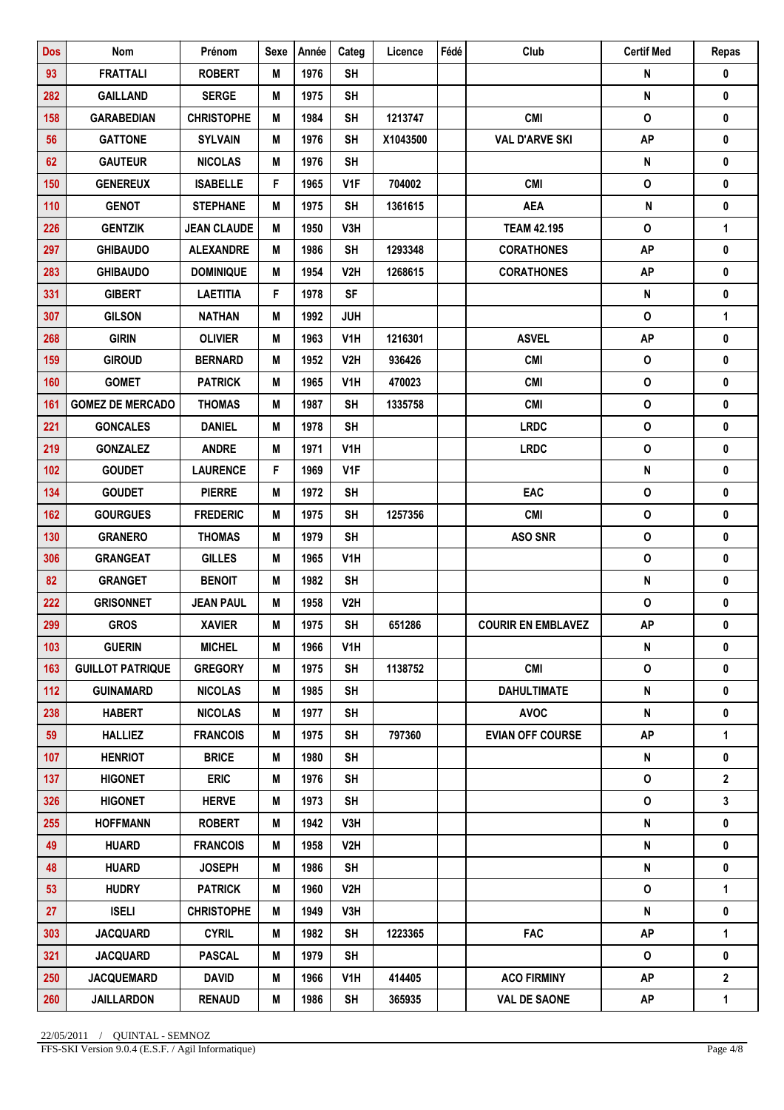| <b>Dos</b> | Nom                     | Prénom             | <b>Sexe</b> | Année | Categ            | Licence  | Fédé | Club                      | <b>Certif Med</b>         | Repas        |
|------------|-------------------------|--------------------|-------------|-------|------------------|----------|------|---------------------------|---------------------------|--------------|
| 93         | <b>FRATTALI</b>         | <b>ROBERT</b>      | M           | 1976  | <b>SH</b>        |          |      |                           | N                         | $\pmb{0}$    |
| 282        | <b>GAILLAND</b>         | <b>SERGE</b>       | M           | 1975  | <b>SH</b>        |          |      |                           | N                         | 0            |
| 158        | <b>GARABEDIAN</b>       | <b>CHRISTOPHE</b>  | M           | 1984  | <b>SH</b>        | 1213747  |      | <b>CMI</b>                | $\pmb{\mathsf{O}}$        | 0            |
| 56         | <b>GATTONE</b>          | <b>SYLVAIN</b>     | M           | 1976  | <b>SH</b>        | X1043500 |      | <b>VAL D'ARVE SKI</b>     | <b>AP</b>                 | 0            |
| 62         | <b>GAUTEUR</b>          | <b>NICOLAS</b>     | M           | 1976  | <b>SH</b>        |          |      |                           | N                         | 0            |
| 150        | <b>GENEREUX</b>         | <b>ISABELLE</b>    | F           | 1965  | V <sub>1F</sub>  | 704002   |      | <b>CMI</b>                | $\pmb{\mathsf{O}}$        | 0            |
| 110        | <b>GENOT</b>            | <b>STEPHANE</b>    | M           | 1975  | <b>SH</b>        | 1361615  |      | <b>AEA</b>                | ${\sf N}$                 | 0            |
| 226        | <b>GENTZIK</b>          | <b>JEAN CLAUDE</b> | M           | 1950  | V3H              |          |      | <b>TEAM 42.195</b>        | $\mathbf{o}$              | $\mathbf{1}$ |
| 297        | <b>GHIBAUDO</b>         | <b>ALEXANDRE</b>   | M           | 1986  | <b>SH</b>        | 1293348  |      | <b>CORATHONES</b>         | <b>AP</b>                 | 0            |
| 283        | <b>GHIBAUDO</b>         | <b>DOMINIQUE</b>   | M           | 1954  | V <sub>2</sub> H | 1268615  |      | <b>CORATHONES</b>         | <b>AP</b>                 | 0            |
| 331        | <b>GIBERT</b>           | <b>LAETITIA</b>    | F           | 1978  | <b>SF</b>        |          |      |                           | ${\sf N}$                 | $\pmb{0}$    |
| 307        | <b>GILSON</b>           | <b>NATHAN</b>      | M           | 1992  | <b>JUH</b>       |          |      |                           | $\mathsf{o}$              | 1            |
| 268        | <b>GIRIN</b>            | <b>OLIVIER</b>     | M           | 1963  | V <sub>1</sub> H | 1216301  |      | <b>ASVEL</b>              | AP                        | 0            |
| 159        | <b>GIROUD</b>           | <b>BERNARD</b>     | M           | 1952  | V <sub>2</sub> H | 936426   |      | <b>CMI</b>                | $\mathsf{o}\,$            | 0            |
| 160        | <b>GOMET</b>            | <b>PATRICK</b>     | M           | 1965  | V1H              | 470023   |      | <b>CMI</b>                | $\mathsf{o}$              | 0            |
| 161        | <b>GOMEZ DE MERCADO</b> | <b>THOMAS</b>      | M           | 1987  | <b>SH</b>        | 1335758  |      | <b>CMI</b>                | $\pmb{\mathsf{O}}$        | $\pmb{0}$    |
| 221        | <b>GONCALES</b>         | <b>DANIEL</b>      | M           | 1978  | <b>SH</b>        |          |      | <b>LRDC</b>               | $\pmb{\mathsf{O}}$        | 0            |
| 219        | <b>GONZALEZ</b>         | <b>ANDRE</b>       | M           | 1971  | V <sub>1</sub> H |          |      | <b>LRDC</b>               | $\pmb{\mathsf{O}}$        | $\pmb{0}$    |
| 102        | <b>GOUDET</b>           | <b>LAURENCE</b>    | F           | 1969  | V1F              |          |      |                           | N                         | 0            |
| 134        | <b>GOUDET</b>           | <b>PIERRE</b>      | M           | 1972  | <b>SH</b>        |          |      | EAC                       | $\pmb{\mathsf{O}}$        | 0            |
| 162        | <b>GOURGUES</b>         | <b>FREDERIC</b>    | M           | 1975  | <b>SH</b>        | 1257356  |      | <b>CMI</b>                | $\mathsf{o}\,$            | 0            |
| 130        | <b>GRANERO</b>          | <b>THOMAS</b>      | M           | 1979  | <b>SH</b>        |          |      | <b>ASO SNR</b>            | $\mathsf{o}$              | 0            |
| 306        | <b>GRANGEAT</b>         | <b>GILLES</b>      | M           | 1965  | V1H              |          |      |                           | $\pmb{\mathsf{O}}$        | 0            |
| 82         | <b>GRANGET</b>          | <b>BENOIT</b>      | M           | 1982  | <b>SH</b>        |          |      |                           | N                         | 0            |
| 222        | <b>GRISONNET</b>        | <b>JEAN PAUL</b>   | M           | 1958  | V <sub>2</sub> H |          |      |                           | O                         | 0            |
| 299        | <b>GROS</b>             | <b>XAVIER</b>      | M           | 1975  | <b>SH</b>        | 651286   |      | <b>COURIR EN EMBLAVEZ</b> | <b>AP</b>                 | 0            |
| 103        | <b>GUERIN</b>           | <b>MICHEL</b>      | M           | 1966  | V1H              |          |      |                           | N                         | 0            |
| 163        | <b>GUILLOT PATRIQUE</b> | <b>GREGORY</b>     | Μ           | 1975  | <b>SH</b>        | 1138752  |      | <b>CMI</b>                | $\mathsf{o}\,$            | 0            |
| 112        | <b>GUINAMARD</b>        | <b>NICOLAS</b>     | M           | 1985  | <b>SH</b>        |          |      | <b>DAHULTIMATE</b>        | ${\sf N}$                 | 0            |
| 238        | <b>HABERT</b>           | <b>NICOLAS</b>     | M           | 1977  | <b>SH</b>        |          |      | <b>AVOC</b>               | ${\sf N}$                 | 0            |
| 59         | <b>HALLIEZ</b>          | <b>FRANCOIS</b>    | M           | 1975  | <b>SH</b>        | 797360   |      | <b>EVIAN OFF COURSE</b>   | <b>AP</b>                 | 1            |
| 107        | <b>HENRIOT</b>          | <b>BRICE</b>       | M           | 1980  | <b>SH</b>        |          |      |                           | ${\sf N}$                 | 0            |
| 137        | <b>HIGONET</b>          | <b>ERIC</b>        | Μ           | 1976  | <b>SH</b>        |          |      |                           | $\mathsf{o}\,$            | $\mathbf 2$  |
| 326        | <b>HIGONET</b>          | <b>HERVE</b>       | M           | 1973  | <b>SH</b>        |          |      |                           | 0                         | 3            |
| 255        | <b>HOFFMANN</b>         | <b>ROBERT</b>      | M           | 1942  | V3H              |          |      |                           | N                         | 0            |
| 49         | <b>HUARD</b>            | <b>FRANCOIS</b>    | M           | 1958  | V2H              |          |      |                           | ${\sf N}$                 | 0            |
| 48         | <b>HUARD</b>            | <b>JOSEPH</b>      | M           | 1986  | <b>SH</b>        |          |      |                           | $\boldsymbol{\mathsf{N}}$ | 0            |
| 53         | <b>HUDRY</b>            | <b>PATRICK</b>     | Μ           | 1960  | V2H              |          |      |                           | 0                         | 1            |
| 27         | <b>ISELI</b>            | <b>CHRISTOPHE</b>  | M           | 1949  | V3H              |          |      |                           | ${\sf N}$                 | 0            |
| 303        | <b>JACQUARD</b>         | <b>CYRIL</b>       | M           | 1982  | <b>SH</b>        | 1223365  |      | <b>FAC</b>                | <b>AP</b>                 | 1            |
| 321        | <b>JACQUARD</b>         | <b>PASCAL</b>      | M           | 1979  | <b>SH</b>        |          |      |                           | 0                         | 0            |
| 250        | <b>JACQUEMARD</b>       | <b>DAVID</b>       | M           | 1966  | V1H              | 414405   |      | <b>ACO FIRMINY</b>        | <b>AP</b>                 | $\mathbf{2}$ |
| 260        | <b>JAILLARDON</b>       | <b>RENAUD</b>      | Μ           | 1986  | <b>SH</b>        | 365935   |      | <b>VAL DE SAONE</b>       | AP                        | 1            |

FFS-SKI Version 9.0.4 (E.S.F. / Agil Informatique) Page 4/8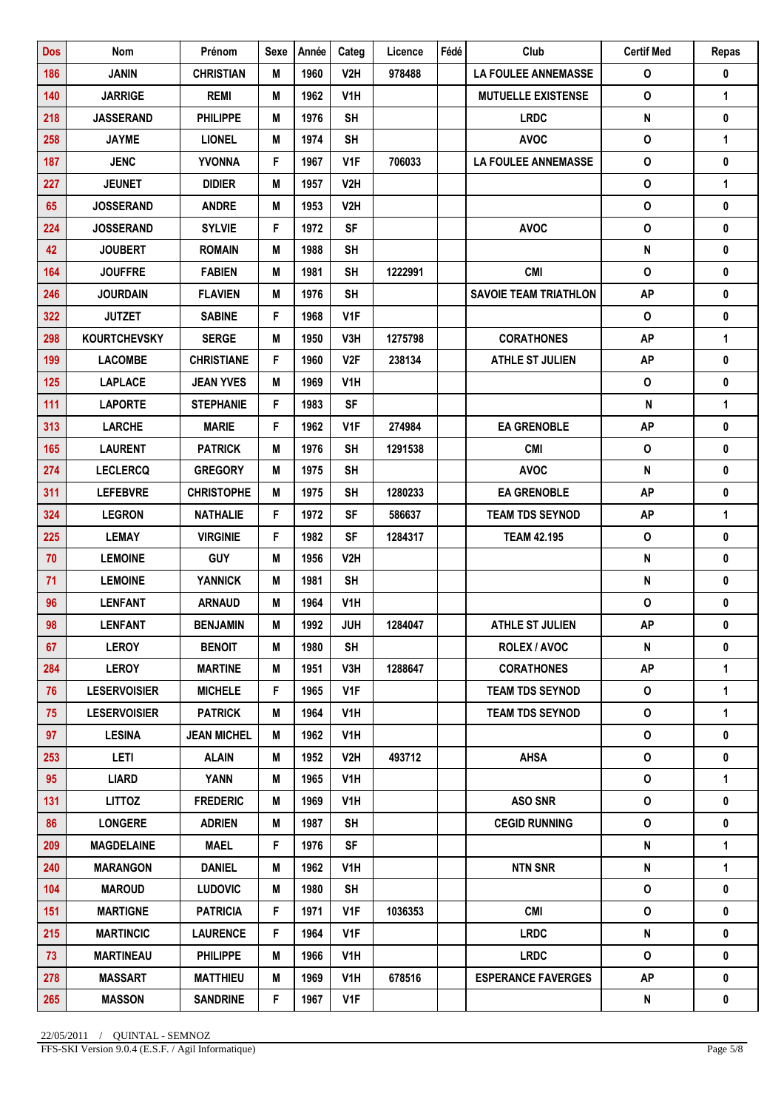| <b>Dos</b> | Nom                 | Prénom             | <b>Sexe</b> | Année | Categ            | Licence | Fédé | Club                         | <b>Certif Med</b>  | Repas        |
|------------|---------------------|--------------------|-------------|-------|------------------|---------|------|------------------------------|--------------------|--------------|
| 186        | <b>JANIN</b>        | <b>CHRISTIAN</b>   | М           | 1960  | V2H              | 978488  |      | <b>LA FOULEE ANNEMASSE</b>   | O                  | 0            |
| 140        | <b>JARRIGE</b>      | <b>REMI</b>        | M           | 1962  | V <sub>1</sub> H |         |      | <b>MUTUELLE EXISTENSE</b>    | $\mathbf 0$        | 1            |
| 218        | <b>JASSERAND</b>    | <b>PHILIPPE</b>    | M           | 1976  | <b>SH</b>        |         |      | <b>LRDC</b>                  | ${\sf N}$          | 0            |
| 258        | <b>JAYME</b>        | <b>LIONEL</b>      | M           | 1974  | <b>SH</b>        |         |      | <b>AVOC</b>                  | $\pmb{\mathsf{O}}$ | $\mathbf 1$  |
| 187        | <b>JENC</b>         | <b>YVONNA</b>      | F           | 1967  | V1F              | 706033  |      | <b>LA FOULEE ANNEMASSE</b>   | $\mathsf{o}$       | 0            |
| 227        | <b>JEUNET</b>       | <b>DIDIER</b>      | M           | 1957  | V2H              |         |      |                              | $\pmb{\mathsf{O}}$ | $\mathbf{1}$ |
| 65         | <b>JOSSERAND</b>    | <b>ANDRE</b>       | M           | 1953  | V <sub>2</sub> H |         |      |                              | 0                  | 0            |
| 224        | <b>JOSSERAND</b>    | <b>SYLVIE</b>      | F           | 1972  | <b>SF</b>        |         |      | <b>AVOC</b>                  | $\mathbf{o}$       | 0            |
| 42         | <b>JOUBERT</b>      | <b>ROMAIN</b>      | M           | 1988  | <b>SH</b>        |         |      |                              | ${\sf N}$          | 0            |
| 164        | <b>JOUFFRE</b>      | <b>FABIEN</b>      | M           | 1981  | <b>SH</b>        | 1222991 |      | <b>CMI</b>                   | $\mathsf{o}$       | 0            |
| 246        | <b>JOURDAIN</b>     | <b>FLAVIEN</b>     | M           | 1976  | <b>SH</b>        |         |      | <b>SAVOIE TEAM TRIATHLON</b> | <b>AP</b>          | $\pmb{0}$    |
| 322        | <b>JUTZET</b>       | <b>SABINE</b>      | F           | 1968  | V <sub>1</sub> F |         |      |                              | $\mathsf{o}$       | 0            |
| 298        | <b>KOURTCHEVSKY</b> | <b>SERGE</b>       | M           | 1950  | V3H              | 1275798 |      | <b>CORATHONES</b>            | <b>AP</b>          | 1            |
| 199        | <b>LACOMBE</b>      | <b>CHRISTIANE</b>  | F           | 1960  | V <sub>2F</sub>  | 238134  |      | <b>ATHLE ST JULIEN</b>       | <b>AP</b>          | 0            |
| 125        | <b>LAPLACE</b>      | <b>JEAN YVES</b>   | М           | 1969  | V1H              |         |      |                              | O                  | 0            |
| 111        | <b>LAPORTE</b>      | <b>STEPHANIE</b>   | F           | 1983  | <b>SF</b>        |         |      |                              | ${\sf N}$          | $\mathbf{1}$ |
| 313        | <b>LARCHE</b>       | <b>MARIE</b>       | F           | 1962  | V <sub>1</sub> F | 274984  |      | <b>EA GRENOBLE</b>           | <b>AP</b>          | 0            |
| 165        | <b>LAURENT</b>      | <b>PATRICK</b>     | M           | 1976  | <b>SH</b>        | 1291538 |      | <b>CMI</b>                   | $\mathsf{o}$       | 0            |
| 274        | <b>LECLERCQ</b>     | <b>GREGORY</b>     | M           | 1975  | <b>SH</b>        |         |      | <b>AVOC</b>                  | N                  | 0            |
| 311        | <b>LEFEBVRE</b>     | <b>CHRISTOPHE</b>  | M           | 1975  | <b>SH</b>        | 1280233 |      | <b>EA GRENOBLE</b>           | <b>AP</b>          | 0            |
| 324        | <b>LEGRON</b>       | <b>NATHALIE</b>    | F           | 1972  | <b>SF</b>        | 586637  |      | <b>TEAM TDS SEYNOD</b>       | <b>AP</b>          | $\mathbf{1}$ |
| 225        | <b>LEMAY</b>        | <b>VIRGINIE</b>    | F           | 1982  | <b>SF</b>        | 1284317 |      | <b>TEAM 42.195</b>           | $\mathsf{o}$       | 0            |
| 70         | <b>LEMOINE</b>      | <b>GUY</b>         | M           | 1956  | V <sub>2</sub> H |         |      |                              | ${\sf N}$          | 0            |
| 71         | <b>LEMOINE</b>      | <b>YANNICK</b>     | M           | 1981  | <b>SH</b>        |         |      |                              | N                  | 0            |
| 96         | <b>LENFANT</b>      | <b>ARNAUD</b>      | M           | 1964  | V1H              |         |      |                              | O                  | 0            |
| 98         | <b>LENFANT</b>      | <b>BENJAMIN</b>    | M           | 1992  | <b>JUH</b>       | 1284047 |      | <b>ATHLE ST JULIEN</b>       | <b>AP</b>          | 0            |
| 67         | <b>LEROY</b>        | <b>BENOIT</b>      | M           | 1980  | <b>SH</b>        |         |      | <b>ROLEX / AVOC</b>          | ${\sf N}$          | 0            |
| 284        | <b>LEROY</b>        | <b>MARTINE</b>     | Μ           | 1951  | V3H              | 1288647 |      | <b>CORATHONES</b>            | <b>AP</b>          | 1            |
| 76         | <b>LESERVOISIER</b> | <b>MICHELE</b>     | F           | 1965  | V1F              |         |      | <b>TEAM TDS SEYNOD</b>       | $\mathsf{o}$       | $\mathbf{1}$ |
| 75         | <b>LESERVOISIER</b> | <b>PATRICK</b>     | M           | 1964  | V <sub>1</sub> H |         |      | <b>TEAM TDS SEYNOD</b>       | $\mathbf{o}$       | 1            |
| 97         | <b>LESINA</b>       | <b>JEAN MICHEL</b> | M           | 1962  | V1H              |         |      |                              | $\mathsf{o}\,$     | 0            |
| 253        | <b>LETI</b>         | <b>ALAIN</b>       | M           | 1952  | V2H              | 493712  |      | <b>AHSA</b>                  | 0                  | 0            |
| 95         | LIARD               | YANN               | M           | 1965  | V1H              |         |      |                              | 0                  | 1            |
| 131        | <b>LITTOZ</b>       | <b>FREDERIC</b>    | M           | 1969  | V1H              |         |      | <b>ASO SNR</b>               | 0                  | 0            |
| 86         | <b>LONGERE</b>      | <b>ADRIEN</b>      | M           | 1987  | <b>SH</b>        |         |      | <b>CEGID RUNNING</b>         | $\mathsf{o}\,$     | 0            |
| 209        | <b>MAGDELAINE</b>   | <b>MAEL</b>        | F           | 1976  | <b>SF</b>        |         |      |                              | N                  | 1            |
| 240        | <b>MARANGON</b>     | <b>DANIEL</b>      | M           | 1962  | V1H              |         |      | <b>NTN SNR</b>               | ${\sf N}$          | 1            |
| 104        | <b>MAROUD</b>       | <b>LUDOVIC</b>     | Μ           | 1980  | <b>SH</b>        |         |      |                              | $\mathsf{o}\,$     | 0            |
| 151        | <b>MARTIGNE</b>     | <b>PATRICIA</b>    | F           | 1971  | V1F              | 1036353 |      | <b>CMI</b>                   | $\mathsf{o}$       | 0            |
| 215        | <b>MARTINCIC</b>    | <b>LAURENCE</b>    | F.          | 1964  | V <sub>1</sub> F |         |      | <b>LRDC</b>                  | N                  | $\mathbf 0$  |
| 73         | <b>MARTINEAU</b>    | <b>PHILIPPE</b>    | M           | 1966  | V1H              |         |      | <b>LRDC</b>                  | 0                  | $\mathbf 0$  |
| 278        | <b>MASSART</b>      | <b>MATTHIEU</b>    | M           | 1969  | V1H              | 678516  |      | <b>ESPERANCE FAVERGES</b>    | <b>AP</b>          | 0            |
| 265        | <b>MASSON</b>       | <b>SANDRINE</b>    | F           | 1967  | V1F              |         |      |                              | N                  | 0            |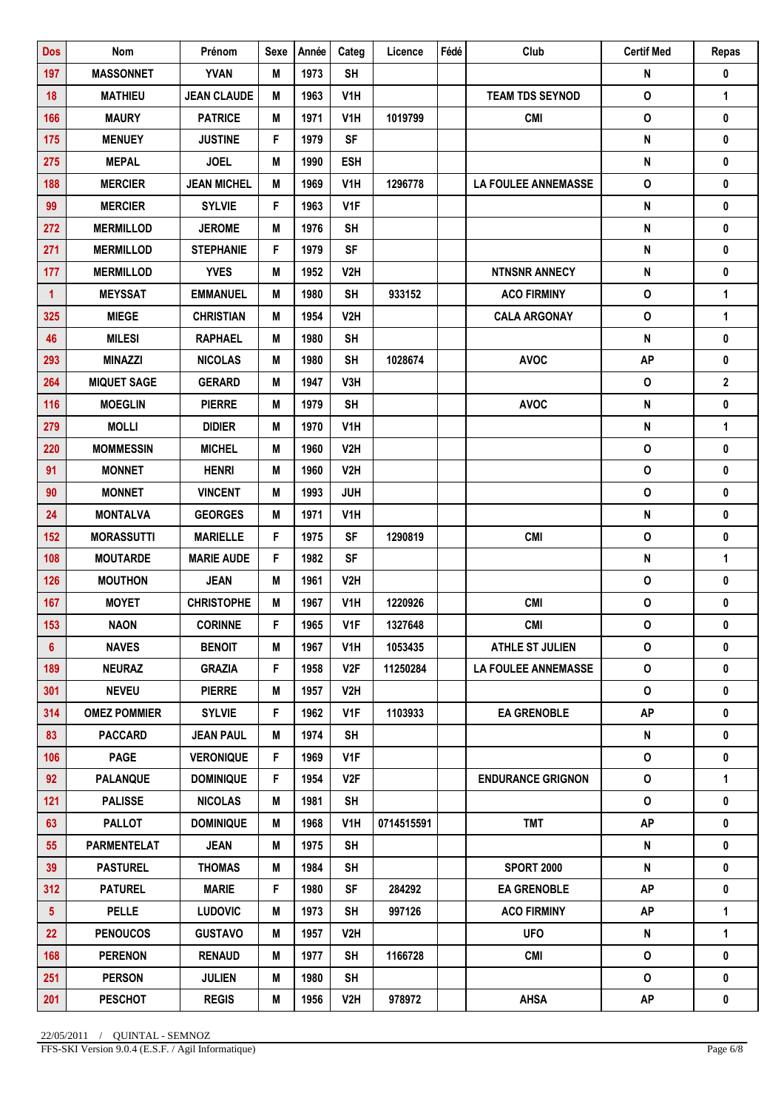| <b>Dos</b>     | Nom                 | Prénom             | <b>Sexe</b> | Année | Categ            | Licence    | Fédé | Club                       | <b>Certif Med</b>  | Repas          |
|----------------|---------------------|--------------------|-------------|-------|------------------|------------|------|----------------------------|--------------------|----------------|
| 197            | <b>MASSONNET</b>    | <b>YVAN</b>        | M           | 1973  | <b>SH</b>        |            |      |                            | N                  | 0              |
| 18             | <b>MATHIEU</b>      | <b>JEAN CLAUDE</b> | M           | 1963  | V <sub>1</sub> H |            |      | <b>TEAM TDS SEYNOD</b>     | $\pmb{\mathsf{O}}$ | 1              |
| 166            | <b>MAURY</b>        | <b>PATRICE</b>     | M           | 1971  | V <sub>1</sub> H | 1019799    |      | <b>CMI</b>                 | $\pmb{\mathsf{O}}$ | 0              |
| 175            | <b>MENUEY</b>       | <b>JUSTINE</b>     | F           | 1979  | SF               |            |      |                            | N                  | 0              |
| 275            | <b>MEPAL</b>        | <b>JOEL</b>        | M           | 1990  | <b>ESH</b>       |            |      |                            | N                  | 0              |
| 188            | <b>MERCIER</b>      | <b>JEAN MICHEL</b> | M           | 1969  | V <sub>1</sub> H | 1296778    |      | <b>LA FOULEE ANNEMASSE</b> | $\mathbf{o}$       | 0              |
| 99             | <b>MERCIER</b>      | <b>SYLVIE</b>      | F           | 1963  | V <sub>1F</sub>  |            |      |                            | ${\sf N}$          | 0              |
| 272            | <b>MERMILLOD</b>    | <b>JEROME</b>      | M           | 1976  | <b>SH</b>        |            |      |                            | ${\sf N}$          | 0              |
| 271            | <b>MERMILLOD</b>    | <b>STEPHANIE</b>   | F           | 1979  | <b>SF</b>        |            |      |                            | N                  | 0              |
| 177            | <b>MERMILLOD</b>    | <b>YVES</b>        | M           | 1952  | V <sub>2</sub> H |            |      | <b>NTNSNR ANNECY</b>       | N                  | 0              |
| $\mathbf{1}$   | <b>MEYSSAT</b>      | <b>EMMANUEL</b>    | M           | 1980  | <b>SH</b>        | 933152     |      | <b>ACO FIRMINY</b>         | $\pmb{\mathsf{O}}$ | $\mathbf{1}$   |
| 325            | <b>MIEGE</b>        | <b>CHRISTIAN</b>   | M           | 1954  | V <sub>2</sub> H |            |      | <b>CALA ARGONAY</b>        | 0                  | $\mathbf{1}$   |
| 46             | <b>MILESI</b>       | <b>RAPHAEL</b>     | M           | 1980  | <b>SH</b>        |            |      |                            | N                  | 0              |
| 293            | <b>MINAZZI</b>      | <b>NICOLAS</b>     | M           | 1980  | <b>SH</b>        | 1028674    |      | <b>AVOC</b>                | <b>AP</b>          | $\pmb{0}$      |
| 264            | <b>MIQUET SAGE</b>  | <b>GERARD</b>      | M           | 1947  | V3H              |            |      |                            | $\mathsf{o}$       | $\overline{2}$ |
| 116            | <b>MOEGLIN</b>      | <b>PIERRE</b>      | M           | 1979  | <b>SH</b>        |            |      | <b>AVOC</b>                | $\pmb{\mathsf{N}}$ | $\pmb{0}$      |
| 279            | <b>MOLLI</b>        | <b>DIDIER</b>      | M           | 1970  | V <sub>1</sub> H |            |      |                            | ${\sf N}$          | 1              |
| 220            | <b>MOMMESSIN</b>    | <b>MICHEL</b>      | M           | 1960  | V2H              |            |      |                            | $\mathbf 0$        | 0              |
| 91             | <b>MONNET</b>       | <b>HENRI</b>       | M           | 1960  | V <sub>2</sub> H |            |      |                            | $\mathsf{o}$       | 0              |
| 90             | <b>MONNET</b>       | <b>VINCENT</b>     | M           | 1993  | <b>JUH</b>       |            |      |                            | $\mathbf{o}$       | 0              |
| 24             | <b>MONTALVA</b>     | <b>GEORGES</b>     | M           | 1971  | V <sub>1</sub> H |            |      |                            | $\pmb{\mathsf{N}}$ | $\pmb{0}$      |
| 152            | <b>MORASSUTTI</b>   | <b>MARIELLE</b>    | F           | 1975  | <b>SF</b>        | 1290819    |      | <b>CMI</b>                 | $\pmb{\mathsf{O}}$ | 0              |
| 108            | <b>MOUTARDE</b>     | <b>MARIE AUDE</b>  | F           | 1982  | <b>SF</b>        |            |      |                            | N                  | $\mathbf{1}$   |
| 126            | <b>MOUTHON</b>      | <b>JEAN</b>        | M           | 1961  | V2H              |            |      |                            | $\mathsf{o}$       | 0              |
| 167            | <b>MOYET</b>        | <b>CHRISTOPHE</b>  | M           | 1967  | V <sub>1</sub> H | 1220926    |      | <b>CMI</b>                 | $\mathsf{o}$       | 0              |
| 153            | <b>NAON</b>         | <b>CORINNE</b>     | F           | 1965  | V <sub>1F</sub>  | 1327648    |      | <b>CMI</b>                 | $\mathsf{o}\,$     | 0              |
| $6^{\circ}$    | <b>NAVES</b>        | <b>BENOIT</b>      | M           | 1967  | V1H              | 1053435    |      | <b>ATHLE ST JULIEN</b>     | O                  | 0              |
| 189            | <b>NEURAZ</b>       | <b>GRAZIA</b>      | F           | 1958  | V <sub>2F</sub>  | 11250284   |      | <b>LA FOULEE ANNEMASSE</b> | $\mathsf{o}$       | 0              |
| 301            | <b>NEVEU</b>        | <b>PIERRE</b>      | Μ           | 1957  | V2H              |            |      |                            | $\mathsf{o}\,$     | 0              |
| 314            | <b>OMEZ POMMIER</b> | <b>SYLVIE</b>      | F.          | 1962  | V <sub>1</sub> F | 1103933    |      | <b>EA GRENOBLE</b>         | <b>AP</b>          | 0              |
| 83             | <b>PACCARD</b>      | <b>JEAN PAUL</b>   | Μ           | 1974  | <b>SH</b>        |            |      |                            | N                  | 0              |
| 106            | <b>PAGE</b>         | <b>VERONIQUE</b>   | F.          | 1969  | V <sub>1F</sub>  |            |      |                            | 0                  | 0              |
| 92             | <b>PALANQUE</b>     | <b>DOMINIQUE</b>   | F           | 1954  | V2F              |            |      | <b>ENDURANCE GRIGNON</b>   | $\mathsf{o}\,$     | 1              |
| 121            | <b>PALISSE</b>      | <b>NICOLAS</b>     | M           | 1981  | SH               |            |      |                            | 0                  | 0              |
| 63             | <b>PALLOT</b>       | <b>DOMINIQUE</b>   | M           | 1968  | V <sub>1</sub> H | 0714515591 |      | <b>TMT</b>                 | <b>AP</b>          | $\mathbf 0$    |
| 55             | <b>PARMENTELAT</b>  | <b>JEAN</b>        | Μ           | 1975  | <b>SH</b>        |            |      |                            | N                  | 0              |
| 39             | <b>PASTUREL</b>     | <b>THOMAS</b>      | M           | 1984  | <b>SH</b>        |            |      | <b>SPORT 2000</b>          | N                  | 0              |
| 312            | <b>PATUREL</b>      | <b>MARIE</b>       | F           | 1980  | <b>SF</b>        | 284292     |      | <b>EA GRENOBLE</b>         | <b>AP</b>          | 0              |
| 5 <sup>5</sup> | <b>PELLE</b>        | <b>LUDOVIC</b>     | M           | 1973  | <b>SH</b>        | 997126     |      | <b>ACO FIRMINY</b>         | <b>AP</b>          | 1              |
| 22             | <b>PENOUCOS</b>     | <b>GUSTAVO</b>     | M           | 1957  | V2H              |            |      | <b>UFO</b>                 | N                  | $\mathbf{1}$   |
| 168            | <b>PERENON</b>      | <b>RENAUD</b>      | M           | 1977  | <b>SH</b>        | 1166728    |      | <b>CMI</b>                 | $\mathsf{o}\,$     | $\mathbf 0$    |
| 251            | <b>PERSON</b>       | <b>JULIEN</b>      | M           | 1980  | <b>SH</b>        |            |      |                            | $\mathbf{o}$       | 0              |
| 201            | <b>PESCHOT</b>      | <b>REGIS</b>       | Μ           | 1956  | V2H              | 978972     |      | <b>AHSA</b>                | AP                 | 0              |

FFS-SKI Version 9.0.4 (E.S.F. / Agil Informatique) Page 6/8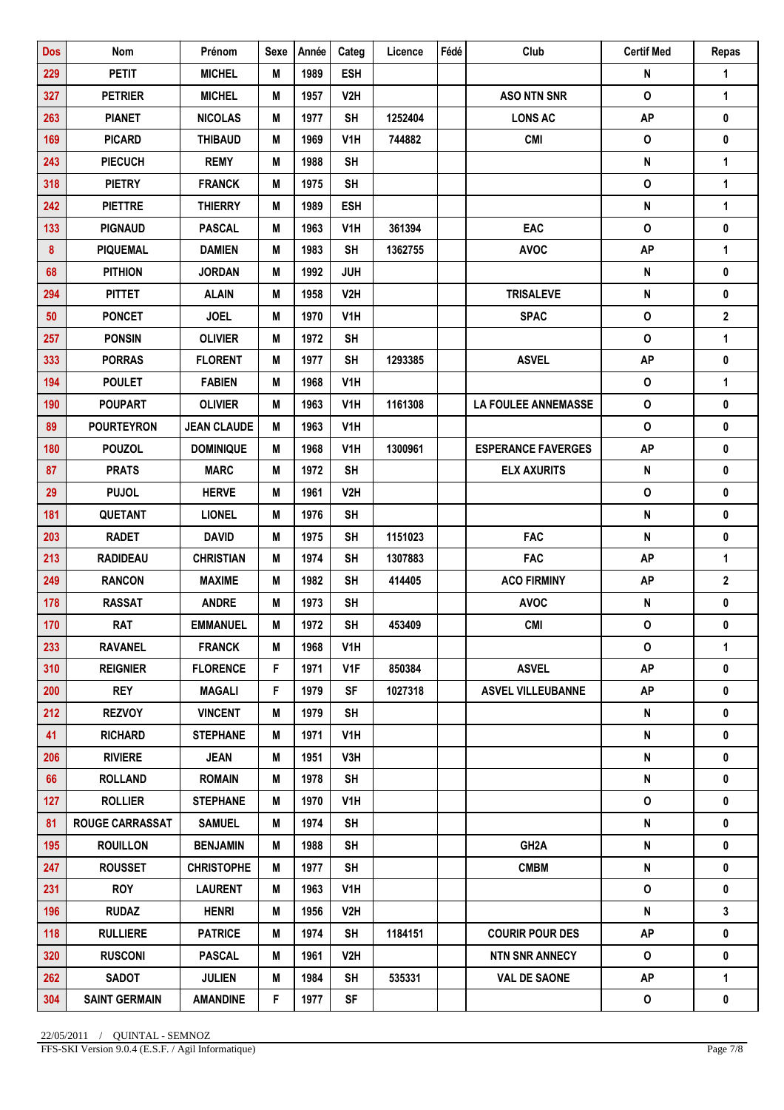| <b>Dos</b> | Nom                    | Prénom             | <b>Sexe</b> | Année | Categ            | Licence | Fédé | Club                       | <b>Certif Med</b>  | Repas          |
|------------|------------------------|--------------------|-------------|-------|------------------|---------|------|----------------------------|--------------------|----------------|
| 229        | <b>PETIT</b>           | <b>MICHEL</b>      | M           | 1989  | <b>ESH</b>       |         |      |                            | N                  | 1              |
| 327        | <b>PETRIER</b>         | <b>MICHEL</b>      | M           | 1957  | V <sub>2</sub> H |         |      | <b>ASO NTN SNR</b>         | $\mathbf 0$        | 1              |
| 263        | <b>PIANET</b>          | <b>NICOLAS</b>     | M           | 1977  | <b>SH</b>        | 1252404 |      | <b>LONS AC</b>             | <b>AP</b>          | $\pmb{0}$      |
| 169        | <b>PICARD</b>          | <b>THIBAUD</b>     | M           | 1969  | V <sub>1</sub> H | 744882  |      | <b>CMI</b>                 | $\pmb{\mathsf{O}}$ | 0              |
| 243        | <b>PIECUCH</b>         | <b>REMY</b>        | M           | 1988  | <b>SH</b>        |         |      |                            | N                  | 1              |
| 318        | <b>PIETRY</b>          | <b>FRANCK</b>      | M           | 1975  | <b>SH</b>        |         |      |                            | $\pmb{\mathsf{O}}$ | $\mathbf{1}$   |
| 242        | <b>PIETTRE</b>         | <b>THIERRY</b>     | M           | 1989  | <b>ESH</b>       |         |      |                            | $\pmb{\mathsf{N}}$ | 1              |
| 133        | <b>PIGNAUD</b>         | <b>PASCAL</b>      | M           | 1963  | V1H              | 361394  |      | EAC                        | $\pmb{\mathsf{O}}$ | $\pmb{0}$      |
| 8          | <b>PIQUEMAL</b>        | <b>DAMIEN</b>      | M           | 1983  | <b>SH</b>        | 1362755 |      | <b>AVOC</b>                | <b>AP</b>          | $\mathbf{1}$   |
| 68         | <b>PITHION</b>         | <b>JORDAN</b>      | M           | 1992  | <b>JUH</b>       |         |      |                            | N                  | 0              |
| 294        | <b>PITTET</b>          | <b>ALAIN</b>       | M           | 1958  | V2H              |         |      | <b>TRISALEVE</b>           | N                  | 0              |
| 50         | <b>PONCET</b>          | <b>JOEL</b>        | M           | 1970  | V <sub>1</sub> H |         |      | <b>SPAC</b>                | $\mathsf{o}\,$     | $\mathbf{2}$   |
| 257        | <b>PONSIN</b>          | <b>OLIVIER</b>     | M           | 1972  | <b>SH</b>        |         |      |                            | $\mathbf{o}$       | $\mathbf{1}$   |
| 333        | <b>PORRAS</b>          | <b>FLORENT</b>     | M           | 1977  | <b>SH</b>        | 1293385 |      | <b>ASVEL</b>               | <b>AP</b>          | $\pmb{0}$      |
| 194        | <b>POULET</b>          | <b>FABIEN</b>      | M           | 1968  | V1H              |         |      |                            | $\mathsf{o}$       | 1              |
| 190        | <b>POUPART</b>         | <b>OLIVIER</b>     | M           | 1963  | V <sub>1</sub> H | 1161308 |      | <b>LA FOULEE ANNEMASSE</b> | $\mathsf{o}$       | $\pmb{0}$      |
| 89         | <b>POURTEYRON</b>      | <b>JEAN CLAUDE</b> | M           | 1963  | V <sub>1</sub> H |         |      |                            | $\pmb{\mathsf{O}}$ | $\mathbf 0$    |
| 180        | <b>POUZOL</b>          | <b>DOMINIQUE</b>   | M           | 1968  | V <sub>1</sub> H | 1300961 |      | <b>ESPERANCE FAVERGES</b>  | <b>AP</b>          | 0              |
| 87         | <b>PRATS</b>           | <b>MARC</b>        | M           | 1972  | <b>SH</b>        |         |      | <b>ELX AXURITS</b>         | N                  | 0              |
| 29         | <b>PUJOL</b>           | <b>HERVE</b>       | M           | 1961  | V2H              |         |      |                            | $\mathsf{o}\,$     | 0              |
| 181        | <b>QUETANT</b>         | <b>LIONEL</b>      | M           | 1976  | <b>SH</b>        |         |      |                            | $\pmb{\mathsf{N}}$ | $\pmb{0}$      |
| 203        | <b>RADET</b>           | <b>DAVID</b>       | M           | 1975  | <b>SH</b>        | 1151023 |      | <b>FAC</b>                 | $\pmb{\mathsf{N}}$ | 0              |
| 213        | <b>RADIDEAU</b>        | <b>CHRISTIAN</b>   | M           | 1974  | <b>SH</b>        | 1307883 |      | <b>FAC</b>                 | <b>AP</b>          | 1              |
| 249        | <b>RANCON</b>          | <b>MAXIME</b>      | М           | 1982  | <b>SH</b>        | 414405  |      | <b>ACO FIRMINY</b>         | <b>AP</b>          | $\overline{2}$ |
| 178        | <b>RASSAT</b>          | <b>ANDRE</b>       | M           | 1973  | <b>SH</b>        |         |      | <b>AVOC</b>                | ${\sf N}$          | 0              |
| 170        | <b>RAT</b>             | <b>EMMANUEL</b>    | M           | 1972  | <b>SH</b>        | 453409  |      | <b>CMI</b>                 | $\mathsf{o}\,$     | 0              |
| 233        | <b>RAVANEL</b>         | <b>FRANCK</b>      | M           | 1968  | V1H              |         |      |                            | 0                  | $\mathbf{1}$   |
| 310        | <b>REIGNIER</b>        | <b>FLORENCE</b>    | F           | 1971  | V <sub>1</sub> F | 850384  |      | <b>ASVEL</b>               | <b>AP</b>          | 0              |
| 200        | <b>REY</b>             | <b>MAGALI</b>      | F.          | 1979  | SF               | 1027318 |      | <b>ASVEL VILLEUBANNE</b>   | AP                 | 0              |
| 212        | <b>REZVOY</b>          | <b>VINCENT</b>     | M           | 1979  | <b>SH</b>        |         |      |                            | N                  | 0              |
| 41         | <b>RICHARD</b>         | <b>STEPHANE</b>    | Μ           | 1971  | V1H              |         |      |                            | N                  | 0              |
| 206        | <b>RIVIERE</b>         | <b>JEAN</b>        | M           | 1951  | V3H              |         |      |                            | N                  | 0              |
| 66         | <b>ROLLAND</b>         | <b>ROMAIN</b>      | Μ           | 1978  | <b>SH</b>        |         |      |                            | N                  | 0              |
| 127        | <b>ROLLIER</b>         | <b>STEPHANE</b>    | M           | 1970  | V1H              |         |      |                            | 0                  | 0              |
| 81         | <b>ROUGE CARRASSAT</b> | <b>SAMUEL</b>      | M           | 1974  | <b>SH</b>        |         |      |                            | N                  | $\mathbf 0$    |
| 195        | <b>ROUILLON</b>        | <b>BENJAMIN</b>    | M           | 1988  | <b>SH</b>        |         |      | GH <sub>2</sub> A          | N                  | 0              |
| 247        | <b>ROUSSET</b>         | <b>CHRISTOPHE</b>  | M           | 1977  | <b>SH</b>        |         |      | <b>CMBM</b>                | N                  | 0              |
| 231        | <b>ROY</b>             | <b>LAURENT</b>     | Μ           | 1963  | V1H.             |         |      |                            | 0                  | 0              |
| 196        | <b>RUDAZ</b>           | <b>HENRI</b>       | M           | 1956  | V2H              |         |      |                            | N                  | 3              |
| 118        | <b>RULLIERE</b>        | <b>PATRICE</b>     | M           | 1974  | <b>SH</b>        | 1184151 |      | <b>COURIR POUR DES</b>     | <b>AP</b>          | 0              |
| 320        | <b>RUSCONI</b>         | <b>PASCAL</b>      | M           | 1961  | V2H              |         |      | <b>NTN SNR ANNECY</b>      | $\mathsf{o}$       | 0              |
| 262        | <b>SADOT</b>           | <b>JULIEN</b>      | M           | 1984  | <b>SH</b>        | 535331  |      | <b>VAL DE SAONE</b>        | <b>AP</b>          | 1              |
| 304        | <b>SAINT GERMAIN</b>   | <b>AMANDINE</b>    | F.          | 1977  | SF               |         |      |                            | 0                  | 0              |